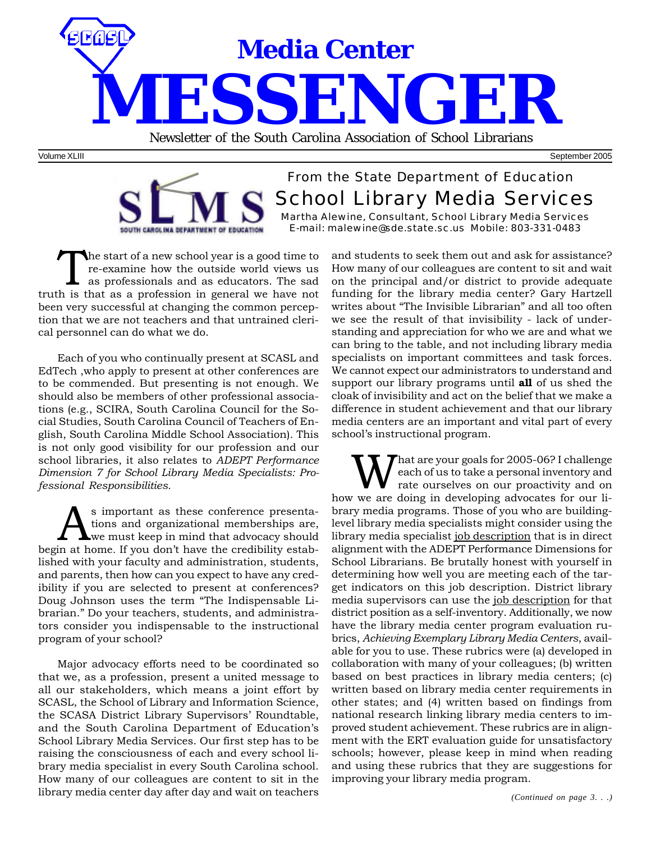

Volume XLIII September 2005

#### From the State Department of Education School Library Media Services Martha Alewine, Consultant, School Library Media Services E-mail: malewine@sde.state.sc.us Mobile: 803-331-0483 SOUTH CAROLINA DEPARTMENT OF EDUCATION

The start of a new school year is a good time to re-examine how the outside world views us as professionals and as educators. The sad truth is that as a profession in general we have not been very successful at changing the common perception that we are not teachers and that untrained clerical personnel can do what we do.

Each of you who continually present at SCASL and EdTech ,who apply to present at other conferences are to be commended. But presenting is not enough. We should also be members of other professional associations (e.g., SCIRA, South Carolina Council for the Social Studies, South Carolina Council of Teachers of English, South Carolina Middle School Association). This is not only good visibility for our profession and our school libraries, it also relates to *ADEPT Performance Dimension 7 for School Library Media Specialists: Professional Responsibilities.*

Solutions and organizational memberships are,<br>we must keep in mind that advocacy should<br>in at home If you don't have the credibility estabtions and organizational memberships are, we must keep in mind that advocacy should begin at home*.* If you don't have the credibility established with your faculty and administration, students, and parents, then how can you expect to have any credibility if you are selected to present at conferences? Doug Johnson uses the term "The Indispensable Librarian." Do your teachers, students, and administrators consider you indispensable to the instructional program of your school?

Major advocacy efforts need to be coordinated so that we, as a profession, present a united message to all our stakeholders, which means a joint effort by SCASL, the School of Library and Information Science, the SCASA District Library Supervisors' Roundtable, and the South Carolina Department of Education's School Library Media Services. Our first step has to be raising the consciousness of each and every school library media specialist in every South Carolina school. How many of our colleagues are content to sit in the library media center day after day and wait on teachers

and students to seek them out and ask for assistance? How many of our colleagues are content to sit and wait on the principal and/or district to provide adequate funding for the library media center? Gary Hartzell writes about "The Invisible Librarian" and all too often we see the result of that invisibility - lack of understanding and appreciation for who we are and what we can bring to the table, and not including library media specialists on important committees and task forces. We cannot expect our administrators to understand and support our library programs until **all** of us shed the cloak of invisibility and act on the belief that we make a difference in student achievement and that our library media centers are an important and vital part of every school's instructional program.

hat are your goals for 2005-06? I challenge each of us to take a personal inventory and rate ourselves on our proactivity and on how we are doing in developing advocates for our library media programs. Those of you who are buildinglevel library media specialists might consider using the library media specialist job description that is in direct alignment with the ADEPT Performance Dimensions for School Librarians. Be brutally honest with yourself in determining how well you are meeting each of the target indicators on this job description. District library media supervisors can use the job description for that district position as a self-inventory. Additionally, we now have the library media center program evaluation rubrics, *Achieving Exemplary Library Media Centers*, available for you to use. These rubrics were (a) developed in collaboration with many of your colleagues; (b) written based on best practices in library media centers; (c) written based on library media center requirements in other states; and (4) written based on findings from national research linking library media centers to improved student achievement. These rubrics are in alignment with the ERT evaluation guide for unsatisfactory schools; however, please keep in mind when reading and using these rubrics that they are suggestions for improving your library media program.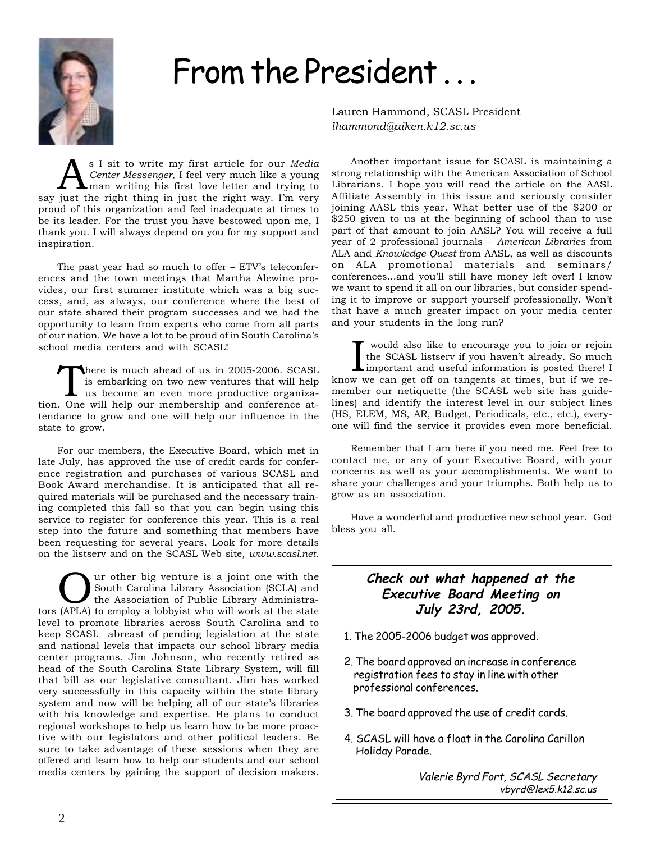

# From the President...

Lauren Hammond, SCASL President *lhammond@aiken.k12.sc.us*

**AS** I sit to write my first article for our *Media*<br>Center *Messenger*, I feel very much like a young<br>man writing his first love letter and trying to *Center Messenger*, I feel very much like a young man writing his first love letter and trying to say just the right thing in just the right way. I'm very proud of this organization and feel inadequate at times to be its leader. For the trust you have bestowed upon me, I thank you. I will always depend on you for my support and inspiration.

The past year had so much to offer – ETV's teleconferences and the town meetings that Martha Alewine provides, our first summer institute which was a big success, and, as always, our conference where the best of our state shared their program successes and we had the opportunity to learn from experts who come from all parts of our nation. We have a lot to be proud of in South Carolina's school media centers and with SCASL!

here is much ahead of us in 2005-2006. SCASL is embarking on two new ventures that will help us become an even more productive organization. One will help our membership and conference attendance to grow and one will help our influence in the state to grow.

For our members, the Executive Board, which met in late July, has approved the use of credit cards for conference registration and purchases of various SCASL and Book Award merchandise. It is anticipated that all required materials will be purchased and the necessary training completed this fall so that you can begin using this service to register for conference this year. This is a real step into the future and something that members have been requesting for several years. Look for more details on the listserv and on the SCASL Web site, *www.scasl.net*.

Our other big venture is a joint one with the<br>South Carolina Library Association (SCLA) and<br>the Association of Public Library Administra-South Carolina Library Association (SCLA) and tors (APLA) to employ a lobbyist who will work at the state level to promote libraries across South Carolina and to keep SCASL abreast of pending legislation at the state and national levels that impacts our school library media center programs. Jim Johnson, who recently retired as head of the South Carolina State Library System, will fill that bill as our legislative consultant. Jim has worked very successfully in this capacity within the state library system and now will be helping all of our state's libraries with his knowledge and expertise. He plans to conduct regional workshops to help us learn how to be more proactive with our legislators and other political leaders. Be sure to take advantage of these sessions when they are offered and learn how to help our students and our school media centers by gaining the support of decision makers.

Another important issue for SCASL is maintaining a strong relationship with the American Association of School Librarians. I hope you will read the article on the AASL Affiliate Assembly in this issue and seriously consider joining AASL this year. What better use of the \$200 or \$250 given to us at the beginning of school than to use part of that amount to join AASL? You will receive a full year of 2 professional journals – *American Libraries* from ALA and *Knowledge Quest* from AASL, as well as discounts on ALA promotional materials and seminars/ conferences...and you'll still have money left over! I know we want to spend it all on our libraries, but consider spending it to improve or support yourself professionally. Won't that have a much greater impact on your media center and your students in the long run?

I would also like to encourage you to join or rejoin<br>the SCASL listserv if you haven't already. So much<br>important and useful information is posted there! I<br>know we can get off on tangents at times, but if we re would also like to encourage you to join or rejoin the SCASL listserv if you haven't already. So much important and useful information is posted there! I member our netiquette (the SCASL web site has guidelines) and identify the interest level in our subject lines (HS, ELEM, MS, AR, Budget, Periodicals, etc., etc.), everyone will find the service it provides even more beneficial.

Remember that I am here if you need me. Feel free to contact me, or any of your Executive Board, with your concerns as well as your accomplishments. We want to share your challenges and your triumphs. Both help us to grow as an association.

Have a wonderful and productive new school year. God bless you all.

#### **Check out what happened at the Executive Board Meeting on July 23rd, 2005.**

- 1. The 2005-2006 budget was approved.
- 2. The board approved an increase in conference registration fees to stay in line with other professional conferences.
- 3. The board approved the use of credit cards.
- 4. SCASL will have a float in the Carolina Carillon Holiday Parade.

Valerie Byrd Fort, SCASL Secretary vbyrd@lex5.k12.sc.us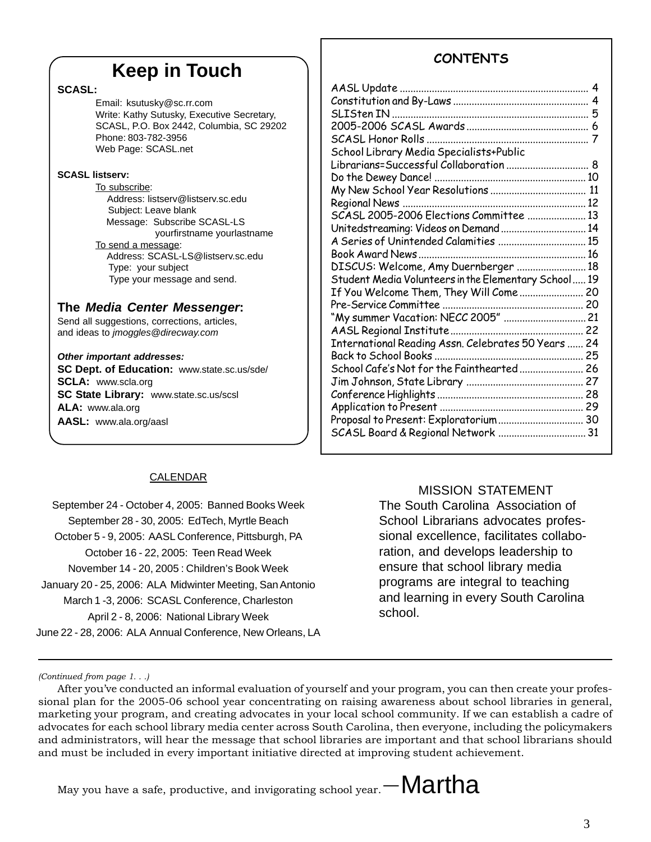# **Keep in Touch**

#### **SCASL:**

Email: ksutusky@sc.rr.com Write: Kathy Sutusky, Executive Secretary, SCASL, P.O. Box 2442, Columbia, SC 29202 Phone: 803-782-3956 Web Page: SCASL.net

#### **SCASL listserv:**

To subscribe: Address: listserv@listserv.sc.edu Subject: Leave blank Message: Subscribe SCASL-LS yourfirstname yourlastname To send a message: Address: SCASL-LS@listserv.sc.edu Type: your subject Type your message and send.

#### **The** *Media Center Messenger***:**

Send all suggestions, corrections, articles, and ideas to *jmoggles@direcway.com*

#### *Other important addresses:*

**SC Dept. of Education:** www.state.sc.us/sde/ **SCLA:** www.scla.org **SC State Library:** www.state.sc.us/scsl **ALA:** www.ala.org **AASL:** www.ala.org/aasl

# **CONTENTS**

| School Library Media Specialists+Public              |    |
|------------------------------------------------------|----|
| Librarians=Successful Collaboration  8               |    |
|                                                      |    |
|                                                      | 11 |
|                                                      |    |
| SCASL 2005-2006 Elections Committee  13              |    |
| Unitedstreaming: Videos on Demand 14                 |    |
| A Series of Unintended Calamities  15                |    |
|                                                      |    |
| DISCUS: Welcome, Amy Duernberger  18                 |    |
| Student Media Volunteers in the Elementary School 19 |    |
| If You Welcome Them, They Will Come  20              |    |
|                                                      |    |
|                                                      |    |
|                                                      |    |
| International Reading Assn. Celebrates 50 Years  24  |    |
|                                                      |    |
| School Cafe's Not for the Fainthearted  26           |    |
|                                                      |    |
|                                                      |    |
|                                                      |    |
| Proposal to Present: Exploratorium 30                |    |
| SCASL Board & Regional Network  31                   |    |
|                                                      |    |

#### CALENDAR

September 24 - October 4, 2005: Banned Books Week September 28 - 30, 2005: EdTech, Myrtle Beach October 5 - 9, 2005: AASL Conference, Pittsburgh, PA October 16 - 22, 2005: Teen Read Week November 14 - 20, 2005 : Children's Book Week January 20 - 25, 2006: ALA Midwinter Meeting, San Antonio March 1 -3, 2006: SCASL Conference, Charleston April 2 - 8, 2006: National Library Week June 22 - 28, 2006: ALA Annual Conference, New Orleans, LA

#### MISSION STATEMENT

The South Carolina Association of School Librarians advocates professional excellence, facilitates collaboration, and develops leadership to ensure that school library media programs are integral to teaching and learning in every South Carolina school.

*(Continued from page 1. . .)*

After you've conducted an informal evaluation of yourself and your program, you can then create your professional plan for the 2005-06 school year concentrating on raising awareness about school libraries in general, marketing your program, and creating advocates in your local school community. If we can establish a cadre of advocates for each school library media center across South Carolina, then everyone, including the policymakers and administrators, will hear the message that school libraries are important and that school librarians should and must be included in every important initiative directed at improving student achievement.

May you have a safe, productive, and invigorating school year.  $-Martha$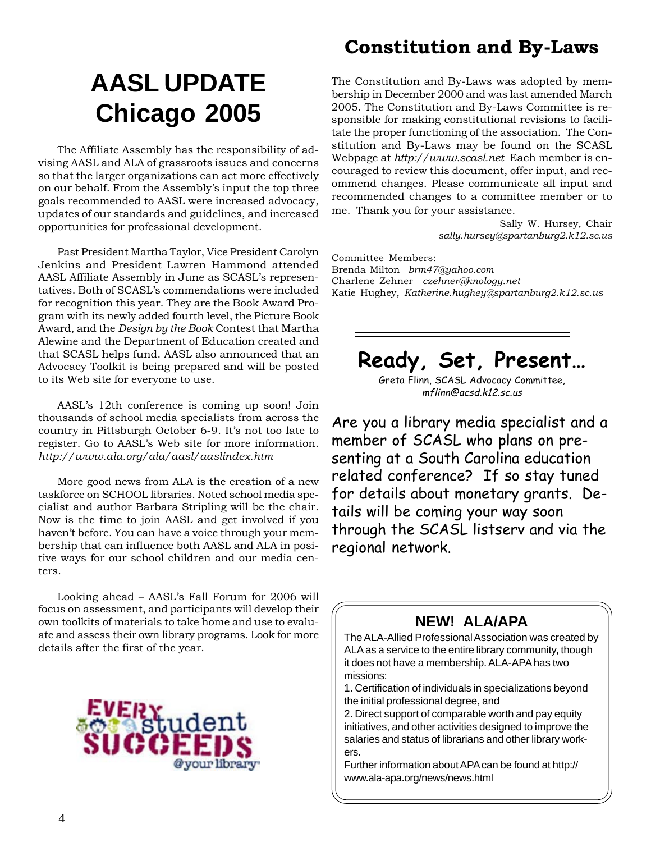# **AASL UPDATE Chicago 2005**

The Affiliate Assembly has the responsibility of advising AASL and ALA of grassroots issues and concerns so that the larger organizations can act more effectively on our behalf. From the Assembly's input the top three goals recommended to AASL were increased advocacy, updates of our standards and guidelines, and increased opportunities for professional development.

Past President Martha Taylor, Vice President Carolyn Jenkins and President Lawren Hammond attended AASL Affiliate Assembly in June as SCASL's representatives. Both of SCASL's commendations were included for recognition this year. They are the Book Award Program with its newly added fourth level, the Picture Book Award, and the *Design by the Book* Contest that Martha Alewine and the Department of Education created and that SCASL helps fund. AASL also announced that an Advocacy Toolkit is being prepared and will be posted to its Web site for everyone to use.

AASL's 12th conference is coming up soon! Join thousands of school media specialists from across the country in Pittsburgh October 6-9. It's not too late to register. Go to AASL's Web site for more information. *http://www.ala.org/ala/aasl/aaslindex.htm*

More good news from ALA is the creation of a new taskforce on SCHOOL libraries. Noted school media specialist and author Barbara Stripling will be the chair. Now is the time to join AASL and get involved if you haven't before. You can have a voice through your membership that can influence both AASL and ALA in positive ways for our school children and our media centers.

Looking ahead – AASL's Fall Forum for 2006 will focus on assessment, and participants will develop their own toolkits of materials to take home and use to evaluate and assess their own library programs. Look for more details after the first of the year.



# **Constitution and By-Laws**

The Constitution and By-Laws was adopted by membership in December 2000 and was last amended March 2005. The Constitution and By-Laws Committee is responsible for making constitutional revisions to facilitate the proper functioning of the association. The Constitution and By-Laws may be found on the SCASL Webpage at *http://www.scasl.net* Each member is encouraged to review this document, offer input, and recommend changes. Please communicate all input and recommended changes to a committee member or to me. Thank you for your assistance.

Sally W. Hursey, Chair *sally.hursey@spartanburg2.k12.sc.us*

Committee Members: Brenda Milton *brm47@yahoo.com* Charlene Zehner *czehner@knology.net* Katie Hughey, *Katherine.hughey@spartanburg2.k12.sc.us*

**Ready, Set, Present…**

Greta Flinn, SCASL Advocacy Committee, mflinn@acsd.k12.sc.us

Are you a library media specialist and a member of SCASL who plans on presenting at a South Carolina education related conference? If so stay tuned for details about monetary grants. Details will be coming your way soon through the SCASL listserv and via the regional network.

# **NEW! ALA/APA**

The ALA-Allied Professional Association was created by ALA as a service to the entire library community, though it does not have a membership. ALA-APA has two missions:

1. Certification of individuals in specializations beyond the initial professional degree, and

2. Direct support of comparable worth and pay equity initiatives, and other activities designed to improve the salaries and status of librarians and other library workers.

Further information about APA can be found at http:// www.ala-apa.org/news/news.html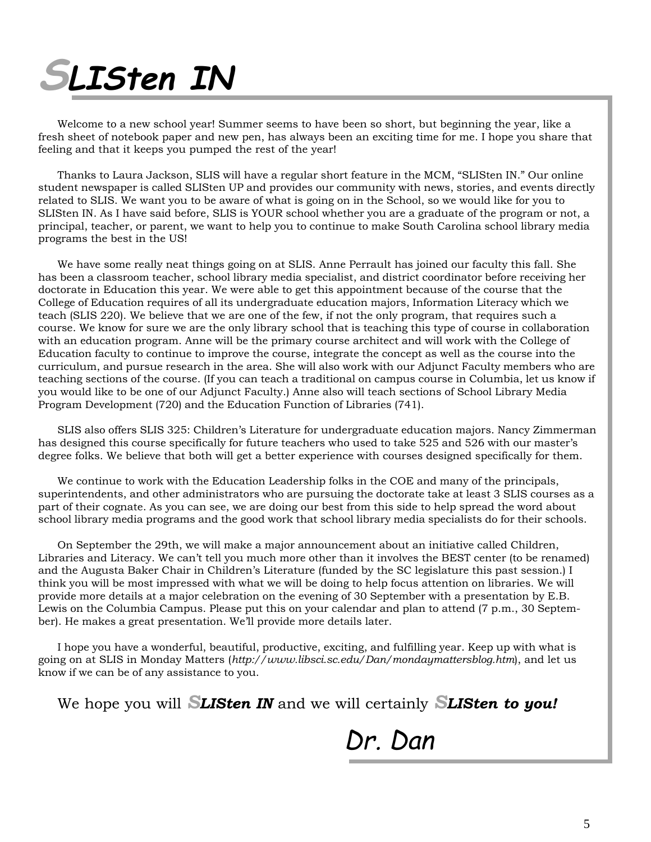# **SLISten IN**

Welcome to a new school year! Summer seems to have been so short, but beginning the year, like a fresh sheet of notebook paper and new pen, has always been an exciting time for me. I hope you share that feeling and that it keeps you pumped the rest of the year!

Thanks to Laura Jackson, SLIS will have a regular short feature in the MCM, "SLISten IN." Our online student newspaper is called SLISten UP and provides our community with news, stories, and events directly related to SLIS. We want you to be aware of what is going on in the School, so we would like for you to SLISten IN. As I have said before, SLIS is YOUR school whether you are a graduate of the program or not, a principal, teacher, or parent, we want to help you to continue to make South Carolina school library media programs the best in the US!

We have some really neat things going on at SLIS. Anne Perrault has joined our faculty this fall. She has been a classroom teacher, school library media specialist, and district coordinator before receiving her doctorate in Education this year. We were able to get this appointment because of the course that the College of Education requires of all its undergraduate education majors, Information Literacy which we teach (SLIS 220). We believe that we are one of the few, if not the only program, that requires such a course. We know for sure we are the only library school that is teaching this type of course in collaboration with an education program. Anne will be the primary course architect and will work with the College of Education faculty to continue to improve the course, integrate the concept as well as the course into the curriculum, and pursue research in the area. She will also work with our Adjunct Faculty members who are teaching sections of the course. (If you can teach a traditional on campus course in Columbia, let us know if you would like to be one of our Adjunct Faculty.) Anne also will teach sections of School Library Media Program Development (720) and the Education Function of Libraries (741).

SLIS also offers SLIS 325: Children's Literature for undergraduate education majors. Nancy Zimmerman has designed this course specifically for future teachers who used to take 525 and 526 with our master's degree folks. We believe that both will get a better experience with courses designed specifically for them.

We continue to work with the Education Leadership folks in the COE and many of the principals, superintendents, and other administrators who are pursuing the doctorate take at least 3 SLIS courses as a part of their cognate. As you can see, we are doing our best from this side to help spread the word about school library media programs and the good work that school library media specialists do for their schools.

On September the 29th, we will make a major announcement about an initiative called Children, Libraries and Literacy. We can't tell you much more other than it involves the BEST center (to be renamed) and the Augusta Baker Chair in Children's Literature (funded by the SC legislature this past session.) I think you will be most impressed with what we will be doing to help focus attention on libraries. We will provide more details at a major celebration on the evening of 30 September with a presentation by E.B. Lewis on the Columbia Campus. Please put this on your calendar and plan to attend (7 p.m., 30 September). He makes a great presentation. We'll provide more details later.

I hope you have a wonderful, beautiful, productive, exciting, and fulfilling year. Keep up with what is going on at SLIS in Monday Matters (*http://www.libsci.sc.edu/Dan/mondaymattersblog.htm*), and let us know if we can be of any assistance to you.

We hope you will *SLISten IN* and we will certainly *SLISten to you!*

Dr. Dan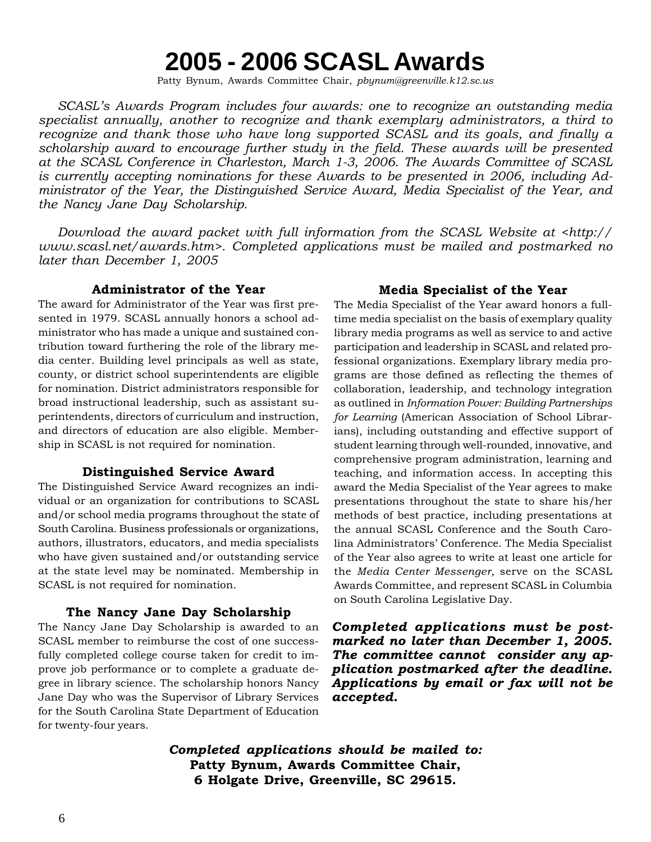# **2005 - 2006 SCASL Awards**

Patty Bynum, Awards Committee Chair, *pbynum@greenville.k12.sc.us*

*SCASL's Awards Program includes four awards: one to recognize an outstanding media specialist annually, another to recognize and thank exemplary administrators, a third to recognize and thank those who have long supported SCASL and its goals, and finally a scholarship award to encourage further study in the field. These awards will be presented at the SCASL Conference in Charleston, March 1-3, 2006. The Awards Committee of SCASL is currently accepting nominations for these Awards to be presented in 2006, including Administrator of the Year, the Distinguished Service Award, Media Specialist of the Year, and the Nancy Jane Day Scholarship.*

*Download the award packet with full information from the SCASL Website at <http:// www.scasl.net/awards.htm>. Completed applications must be mailed and postmarked no later than December 1, 2005*

#### **Administrator of the Year**

The award for Administrator of the Year was first presented in 1979. SCASL annually honors a school administrator who has made a unique and sustained contribution toward furthering the role of the library media center. Building level principals as well as state, county, or district school superintendents are eligible for nomination. District administrators responsible for broad instructional leadership, such as assistant superintendents, directors of curriculum and instruction, and directors of education are also eligible. Membership in SCASL is not required for nomination.

#### **Distinguished Service Award**

The Distinguished Service Award recognizes an individual or an organization for contributions to SCASL and/or school media programs throughout the state of South Carolina. Business professionals or organizations, authors, illustrators, educators, and media specialists who have given sustained and/or outstanding service at the state level may be nominated. Membership in SCASL is not required for nomination.

#### **The Nancy Jane Day Scholarship**

The Nancy Jane Day Scholarship is awarded to an SCASL member to reimburse the cost of one successfully completed college course taken for credit to improve job performance or to complete a graduate degree in library science. The scholarship honors Nancy Jane Day who was the Supervisor of Library Services for the South Carolina State Department of Education for twenty-four years.

#### **Media Specialist of the Year**

The Media Specialist of the Year award honors a fulltime media specialist on the basis of exemplary quality library media programs as well as service to and active participation and leadership in SCASL and related professional organizations. Exemplary library media programs are those defined as reflecting the themes of collaboration, leadership, and technology integration as outlined in *Information Power: Building Partnerships for Learning* (American Association of School Librarians), including outstanding and effective support of student learning through well-rounded, innovative, and comprehensive program administration, learning and teaching, and information access. In accepting this award the Media Specialist of the Year agrees to make presentations throughout the state to share his/her methods of best practice, including presentations at the annual SCASL Conference and the South Carolina Administrators' Conference. The Media Specialist of the Year also agrees to write at least one article for the *Media Center Messenger,* serve on the SCASL Awards Committee, and represent SCASL in Columbia on South Carolina Legislative Day.

*Completed applications must be postmarked no later than December 1, 2005. The committee cannot consider any application postmarked after the deadline. Applications by email or fax will not be accepted.*

*Completed applications should be mailed to:* **Patty Bynum, Awards Committee Chair, 6 Holgate Drive, Greenville, SC 29615.**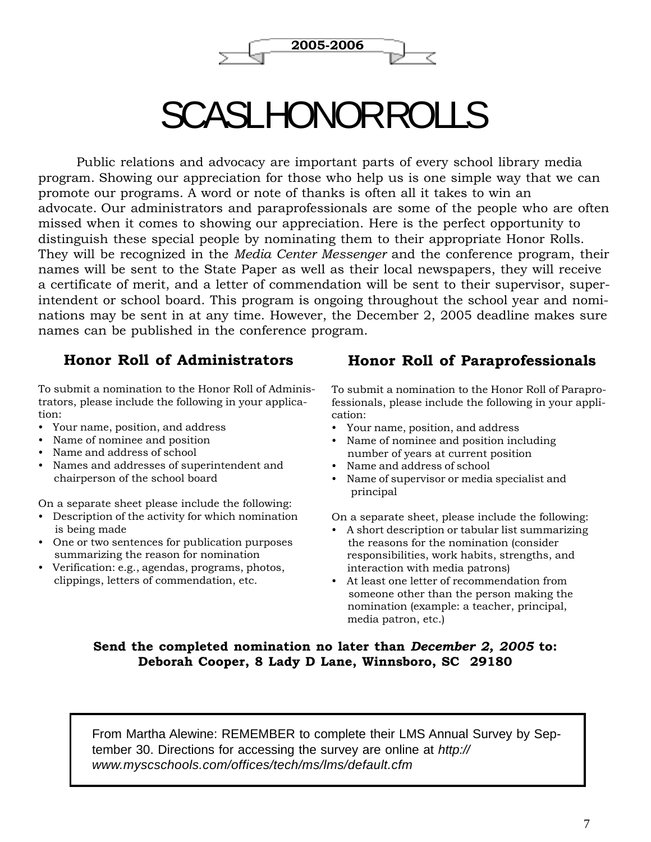

# SCASL HONOR ROLLS

Public relations and advocacy are important parts of every school library media program. Showing our appreciation for those who help us is one simple way that we can promote our programs. A word or note of thanks is often all it takes to win an advocate. Our administrators and paraprofessionals are some of the people who are often missed when it comes to showing our appreciation. Here is the perfect opportunity to distinguish these special people by nominating them to their appropriate Honor Rolls. They will be recognized in the *Media Center Messenger* and the conference program, their names will be sent to the State Paper as well as their local newspapers, they will receive a certificate of merit, and a letter of commendation will be sent to their supervisor, superintendent or school board. This program is ongoing throughout the school year and nominations may be sent in at any time. However, the December 2, 2005 deadline makes sure names can be published in the conference program.

## **Honor Roll of Administrators**

To submit a nomination to the Honor Roll of Administrators, please include the following in your application:

- Your name, position, and address
- Name of nominee and position
- Name and address of school
- Names and addresses of superintendent and chairperson of the school board

On a separate sheet please include the following:

- Description of the activity for which nomination is being made
- One or two sentences for publication purposes summarizing the reason for nomination
- Verification: e.g., agendas, programs, photos, clippings, letters of commendation, etc.

### **Honor Roll of Paraprofessionals**

To submit a nomination to the Honor Roll of Paraprofessionals, please include the following in your application:

- Your name, position, and address
- Name of nominee and position including number of years at current position
- Name and address of school
- Name of supervisor or media specialist and principal

On a separate sheet, please include the following:

- A short description or tabular list summarizing the reasons for the nomination (consider responsibilities, work habits, strengths, and interaction with media patrons)
- At least one letter of recommendation from someone other than the person making the nomination (example: a teacher, principal, media patron, etc.)

#### **Send the completed nomination no later than** *December 2, 2005* **to: Deborah Cooper, 8 Lady D Lane, Winnsboro, SC 29180**

From Martha Alewine: REMEMBER to complete their LMS Annual Survey by September 30. Directions for accessing the survey are online at *http:// www.myscschools.com/offices/tech/ms/lms/default.cfm*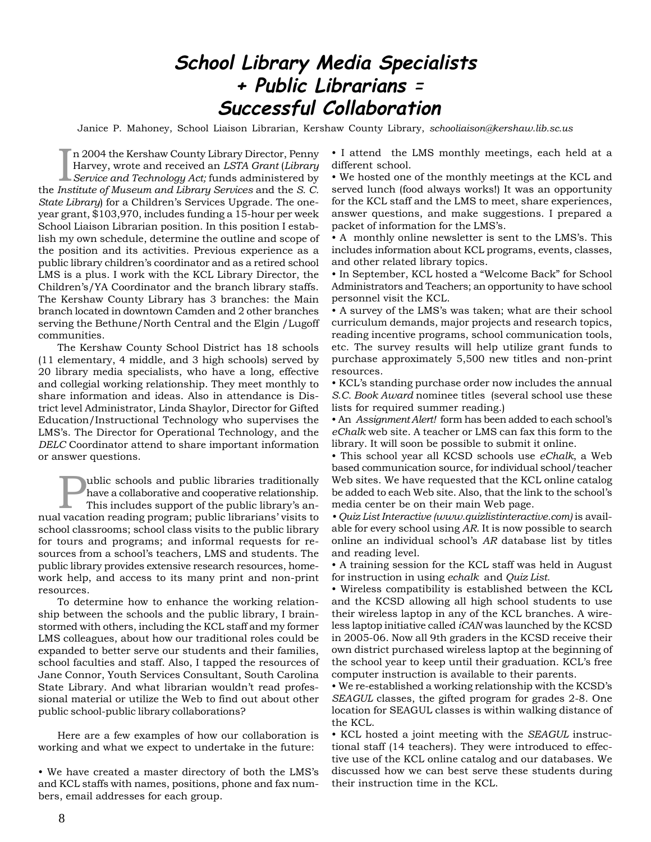# **School Library Media Specialists + Public Librarians** <sup>=</sup>  **Successful Collaboration**

Janice P. Mahoney, School Liaison Librarian, Kershaw County Library, *schooliaison@kershaw.lib.sc.us*

In 2004 the Kershaw County Library Director, Penny<br>Harvey, wrote and received an *LSTA Grant (Library*<br>Service and Technology Act; funds administered by Harvey, wrote and received an *LSTA Grant* (*Library Service and Technology Act;* funds administered by the *Institute of Museum and Library Services* and the *S. C. State Library*) for a Children's Services Upgrade. The oneyear grant, \$103,970, includes funding a 15-hour per week School Liaison Librarian position. In this position I establish my own schedule, determine the outline and scope of the position and its activities. Previous experience as a public library children's coordinator and as a retired school LMS is a plus. I work with the KCL Library Director, the Children's/YA Coordinator and the branch library staffs. The Kershaw County Library has 3 branches: the Main branch located in downtown Camden and 2 other branches serving the Bethune/North Central and the Elgin /Lugoff communities.

The Kershaw County School District has 18 schools (11 elementary, 4 middle, and 3 high schools) served by 20 library media specialists, who have a long, effective and collegial working relationship. They meet monthly to share information and ideas. Also in attendance is District level Administrator, Linda Shaylor, Director for Gifted Education/Instructional Technology who supervises the LMS's. The Director for Operational Technology, and the *DELC* Coordinator attend to share important information or answer questions.

Tublic schools and public libraries traditionally<br>have a collaborative and cooperative relationship.<br>This includes support of the public library's an-<br>livection reeding program: public librarions' visits to have a collaborative and cooperative relationship. nual vacation reading program; public librarians' visits to school classrooms; school class visits to the public library for tours and programs; and informal requests for resources from a school's teachers, LMS and students. The public library provides extensive research resources, homework help, and access to its many print and non-print resources.

To determine how to enhance the working relationship between the schools and the public library, I brainstormed with others, including the KCL staff and my former LMS colleagues, about how our traditional roles could be expanded to better serve our students and their families, school faculties and staff. Also, I tapped the resources of Jane Connor, Youth Services Consultant, South Carolina State Library. And what librarian wouldn't read professional material or utilize the Web to find out about other public school-public library collaborations?

Here are a few examples of how our collaboration is working and what we expect to undertake in the future:

• We have created a master directory of both the LMS's and KCL staffs with names, positions, phone and fax numbers, email addresses for each group.

• I attend the LMS monthly meetings, each held at a different school.

• We hosted one of the monthly meetings at the KCL and served lunch (food always works!) It was an opportunity for the KCL staff and the LMS to meet, share experiences, answer questions, and make suggestions. I prepared a packet of information for the LMS's.

• A monthly online newsletter is sent to the LMS's. This includes information about KCL programs, events, classes, and other related library topics.

• In September, KCL hosted a "Welcome Back" for School Administrators and Teachers; an opportunity to have school personnel visit the KCL.

• A survey of the LMS's was taken; what are their school curriculum demands, major projects and research topics, reading incentive programs, school communication tools, etc. The survey results will help utilize grant funds to purchase approximately 5,500 new titles and non-print resources.

• KCL's standing purchase order now includes the annual *S.C. Book Award* nominee titles (several school use these lists for required summer reading.)

• An *Assignment Alert!* form has been added to each school's *eChalk* web site. A teacher or LMS can fax this form to the library. It will soon be possible to submit it online.

• This school year all KCSD schools use *eChalk*, a Web based communication source, for individual school/teacher Web sites. We have requested that the KCL online catalog be added to each Web site. Also, that the link to the school's media center be on their main Web page.

*• Quiz List Interactive (www.quizlistinteractive.com)* is available for every school using *AR*. It is now possible to search online an individual school's *AR* database list by titles and reading level.

• A training session for the KCL staff was held in August for instruction in using *echalk* and *Quiz List.*

• Wireless compatibility is established between the KCL and the KCSD allowing all high school students to use their wireless laptop in any of the KCL branches. A wireless laptop initiative called *iCAN* was launched by the KCSD in 2005-06. Now all 9th graders in the KCSD receive their own district purchased wireless laptop at the beginning of the school year to keep until their graduation. KCL's free computer instruction is available to their parents.

• We re-established a working relationship with the KCSD's *SEAGUL* classes, the gifted program for grades 2-8. One location for SEAGUL classes is within walking distance of the KCL.

• KCL hosted a joint meeting with the *SEAGUL* instructional staff (14 teachers). They were introduced to effective use of the KCL online catalog and our databases. We discussed how we can best serve these students during their instruction time in the KCL.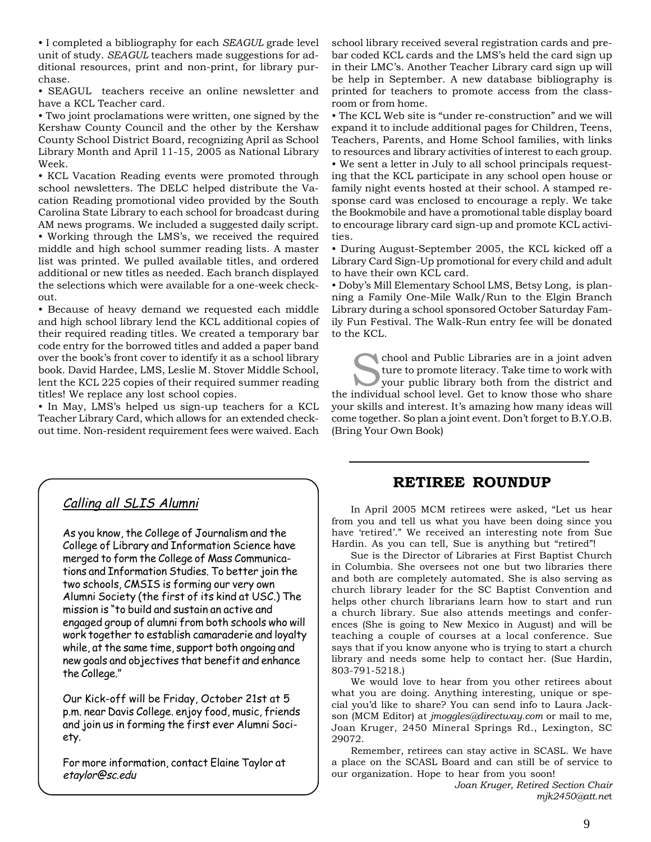• I completed a bibliography for each *SEAGUL* grade level unit of study. *SEAGUL* teachers made suggestions for additional resources, print and non-print, for library purchase.

• SEAGUL teachers receive an online newsletter and have a KCL Teacher card.

• Two joint proclamations were written, one signed by the Kershaw County Council and the other by the Kershaw County School District Board, recognizing April as School Library Month and April 11-15, 2005 as National Library Week.

• KCL Vacation Reading events were promoted through school newsletters. The DELC helped distribute the Vacation Reading promotional video provided by the South Carolina State Library to each school for broadcast during AM news programs. We included a suggested daily script. • Working through the LMS's, we received the required middle and high school summer reading lists. A master list was printed. We pulled available titles, and ordered additional or new titles as needed. Each branch displayed the selections which were available for a one-week checkout.

• Because of heavy demand we requested each middle and high school library lend the KCL additional copies of their required reading titles. We created a temporary bar code entry for the borrowed titles and added a paper band over the book's front cover to identify it as a school library book. David Hardee, LMS, Leslie M. Stover Middle School, lent the KCL 225 copies of their required summer reading titles! We replace any lost school copies.

• In May, LMS's helped us sign-up teachers for a KCL Teacher Library Card, which allows for an extended checkout time. Non-resident requirement fees were waived. Each

school library received several registration cards and prebar coded KCL cards and the LMS's held the card sign up in their LMC's. Another Teacher Library card sign up will be help in September. A new database bibliography is printed for teachers to promote access from the classroom or from home.

• The KCL Web site is "under re-construction" and we will expand it to include additional pages for Children, Teens, Teachers, Parents, and Home School families, with links to resources and library activities of interest to each group. • We sent a letter in July to all school principals requesting that the KCL participate in any school open house or family night events hosted at their school. A stamped response card was enclosed to encourage a reply. We take the Bookmobile and have a promotional table display board to encourage library card sign-up and promote KCL activities.

• During August-September 2005, the KCL kicked off a Library Card Sign-Up promotional for every child and adult to have their own KCL card.

• Doby's Mill Elementary School LMS, Betsy Long, is planning a Family One-Mile Walk/Run to the Elgin Branch Library during a school sponsored October Saturday Family Fun Festival. The Walk-Run entry fee will be donated to the KCL.

chool and Public Libraries are in a joint adven ture to promote literacy. Take time to work with your public library both from the district and the individual school level. Get to know those who share your skills and interest. It's amazing how many ideas will come together. So plan a joint event. Don't forget to B.Y.O.B. (Bring Your Own Book)

# Calling all SLIS Alumni

As you know, the College of Journalism and the College of Library and Information Science have merged to form the College of Mass Communications and Information Studies. To better join the two schools, CMSIS is forming our very own Alumni Society (the first of its kind at USC.) The mission is "to build and sustain an active and engaged group of alumni from both schools who will work together to establish camaraderie and loyalty while, at the same time, support both ongoing and new goals and objectives that benefit and enhance the College."

Our Kick-off will be Friday, October 21st at 5 p.m. near Davis College. enjoy food, music, friends and join us in forming the first ever Alumni Society.

For more information, contact Elaine Taylor at etaylor@sc.edu

## **RETIREE ROUNDUP**

In April 2005 MCM retirees were asked, "Let us hear from you and tell us what you have been doing since you have 'retired'." We received an interesting note from Sue Hardin. As you can tell, Sue is anything but "retired"!

Sue is the Director of Libraries at First Baptist Church in Columbia. She oversees not one but two libraries there and both are completely automated. She is also serving as church library leader for the SC Baptist Convention and helps other church librarians learn how to start and run a church library. Sue also attends meetings and conferences (She is going to New Mexico in August) and will be teaching a couple of courses at a local conference. Sue says that if you know anyone who is trying to start a church library and needs some help to contact her. (Sue Hardin, 803-791-5218.)

We would love to hear from you other retirees about what you are doing. Anything interesting, unique or special you'd like to share? You can send info to Laura Jackson (MCM Editor) at *jmoggles@directway.com* or mail to me, Joan Kruger, 2450 Mineral Springs Rd., Lexington, SC 29072.

Remember, retirees can stay active in SCASL. We have a place on the SCASL Board and can still be of service to our organization. Hope to hear from you soon!

> *Joan Kruger, Retired Section Chair mjk2450@att.ne*t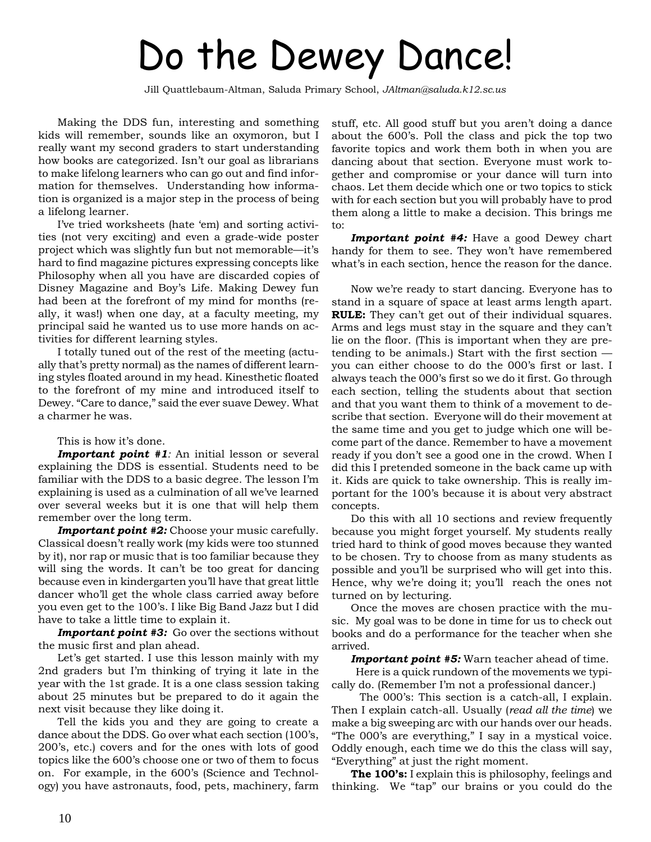# Do the Dewey Dance!

Jill Quattlebaum-Altman, Saluda Primary School, *JAltman@saluda.k12.sc.us*

Making the DDS fun, interesting and something kids will remember, sounds like an oxymoron, but I really want my second graders to start understanding how books are categorized. Isn't our goal as librarians to make lifelong learners who can go out and find information for themselves. Understanding how information is organized is a major step in the process of being a lifelong learner.

I've tried worksheets (hate 'em) and sorting activities (not very exciting) and even a grade-wide poster project which was slightly fun but not memorable—it's hard to find magazine pictures expressing concepts like Philosophy when all you have are discarded copies of Disney Magazine and Boy's Life. Making Dewey fun had been at the forefront of my mind for months (really, it was!) when one day, at a faculty meeting, my principal said he wanted us to use more hands on activities for different learning styles.

I totally tuned out of the rest of the meeting (actually that's pretty normal) as the names of different learning styles floated around in my head. Kinesthetic floated to the forefront of my mine and introduced itself to Dewey. "Care to dance," said the ever suave Dewey. What a charmer he was.

#### This is how it's done.

*Important point #1:* An initial lesson or several explaining the DDS is essential. Students need to be familiar with the DDS to a basic degree. The lesson I'm explaining is used as a culmination of all we've learned over several weeks but it is one that will help them remember over the long term.

*Important point #2:* Choose your music carefully. Classical doesn't really work (my kids were too stunned by it), nor rap or music that is too familiar because they will sing the words. It can't be too great for dancing because even in kindergarten you'll have that great little dancer who'll get the whole class carried away before you even get to the 100's. I like Big Band Jazz but I did have to take a little time to explain it.

*Important point #3:* Go over the sections without the music first and plan ahead.

Let's get started. I use this lesson mainly with my 2nd graders but I'm thinking of trying it late in the year with the 1st grade. It is a one class session taking about 25 minutes but be prepared to do it again the next visit because they like doing it.

Tell the kids you and they are going to create a dance about the DDS. Go over what each section (100's, 200's, etc.) covers and for the ones with lots of good topics like the 600's choose one or two of them to focus on. For example, in the 600's (Science and Technology) you have astronauts, food, pets, machinery, farm

stuff, etc. All good stuff but you aren't doing a dance about the 600's. Poll the class and pick the top two favorite topics and work them both in when you are dancing about that section. Everyone must work together and compromise or your dance will turn into chaos. Let them decide which one or two topics to stick with for each section but you will probably have to prod them along a little to make a decision. This brings me to:

*Important point #4:* Have a good Dewey chart handy for them to see. They won't have remembered what's in each section, hence the reason for the dance.

Now we're ready to start dancing. Everyone has to stand in a square of space at least arms length apart. **RULE:** They can't get out of their individual squares. Arms and legs must stay in the square and they can't lie on the floor. (This is important when they are pretending to be animals.) Start with the first section you can either choose to do the 000's first or last. I always teach the 000's first so we do it first. Go through each section, telling the students about that section and that you want them to think of a movement to describe that section. Everyone will do their movement at the same time and you get to judge which one will become part of the dance. Remember to have a movement ready if you don't see a good one in the crowd. When I did this I pretended someone in the back came up with it. Kids are quick to take ownership. This is really important for the 100's because it is about very abstract concepts.

Do this with all 10 sections and review frequently because you might forget yourself. My students really tried hard to think of good moves because they wanted to be chosen. Try to choose from as many students as possible and you'll be surprised who will get into this. Hence, why we're doing it; you'll reach the ones not turned on by lecturing.

Once the moves are chosen practice with the music. My goal was to be done in time for us to check out books and do a performance for the teacher when she arrived.

*Important point #5:* Warn teacher ahead of time.

 Here is a quick rundown of the movements we typically do. (Remember I'm not a professional dancer.)

 The 000's: This section is a catch-all, I explain. Then I explain catch-all. Usually (*read all the time*) we make a big sweeping arc with our hands over our heads. "The 000's are everything," I say in a mystical voice. Oddly enough, each time we do this the class will say, "Everything" at just the right moment.

**The 100's:** I explain this is philosophy, feelings and thinking. We "tap" our brains or you could do the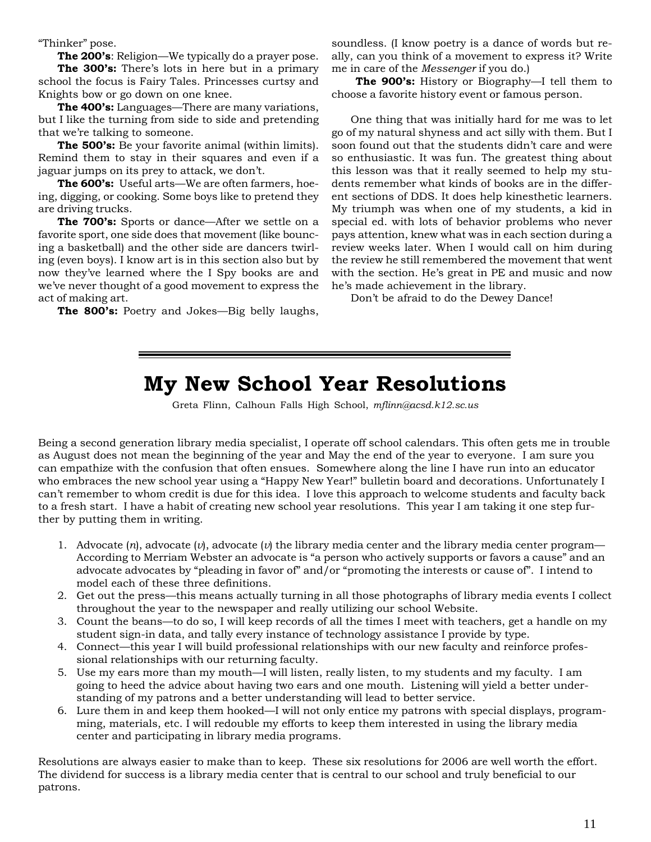"Thinker" pose.

**The 200's**: Religion—We typically do a prayer pose.

**The 300's:** There's lots in here but in a primary school the focus is Fairy Tales. Princesses curtsy and Knights bow or go down on one knee.

**The 400's:** Languages—There are many variations, but I like the turning from side to side and pretending that we're talking to someone.

**The 500's:** Be your favorite animal (within limits). Remind them to stay in their squares and even if a jaguar jumps on its prey to attack, we don't.

**The 600's:** Useful arts—We are often farmers, hoeing, digging, or cooking. Some boys like to pretend they are driving trucks.

**The 700's:** Sports or dance—After we settle on a favorite sport, one side does that movement (like bouncing a basketball) and the other side are dancers twirling (even boys). I know art is in this section also but by now they've learned where the I Spy books are and we've never thought of a good movement to express the act of making art.

**The 800's:** Poetry and Jokes—Big belly laughs,

soundless. (I know poetry is a dance of words but really, can you think of a movement to express it? Write me in care of the *Messenger* if you do.)

**The 900's:** History or Biography—I tell them to choose a favorite history event or famous person.

One thing that was initially hard for me was to let go of my natural shyness and act silly with them. But I soon found out that the students didn't care and were so enthusiastic. It was fun. The greatest thing about this lesson was that it really seemed to help my students remember what kinds of books are in the different sections of DDS. It does help kinesthetic learners. My triumph was when one of my students, a kid in special ed. with lots of behavior problems who never pays attention, knew what was in each section during a review weeks later. When I would call on him during the review he still remembered the movement that went with the section. He's great in PE and music and now he's made achievement in the library.

Don't be afraid to do the Dewey Dance!

# **My New School Year Resolutions**

Greta Flinn, Calhoun Falls High School, *mflinn@acsd.k12.sc.us*

Being a second generation library media specialist, I operate off school calendars. This often gets me in trouble as August does not mean the beginning of the year and May the end of the year to everyone. I am sure you can empathize with the confusion that often ensues. Somewhere along the line I have run into an educator who embraces the new school year using a "Happy New Year!" bulletin board and decorations. Unfortunately I can't remember to whom credit is due for this idea. I love this approach to welcome students and faculty back to a fresh start. I have a habit of creating new school year resolutions. This year I am taking it one step further by putting them in writing.

- 1. Advocate  $(n)$ , advocate  $(v)$ , advocate  $(v)$  the library media center and the library media center program— According to Merriam Webster an advocate is "a person who actively supports or favors a cause" and an advocate advocates by "pleading in favor of" and/or "promoting the interests or cause of". I intend to model each of these three definitions.
- 2. Get out the press—this means actually turning in all those photographs of library media events I collect throughout the year to the newspaper and really utilizing our school Website.
- 3. Count the beans—to do so, I will keep records of all the times I meet with teachers, get a handle on my student sign-in data, and tally every instance of technology assistance I provide by type.
- 4. Connect—this year I will build professional relationships with our new faculty and reinforce professional relationships with our returning faculty.
- 5. Use my ears more than my mouth—I will listen, really listen, to my students and my faculty. I am going to heed the advice about having two ears and one mouth. Listening will yield a better understanding of my patrons and a better understanding will lead to better service.
- 6. Lure them in and keep them hooked—I will not only entice my patrons with special displays, programming, materials, etc. I will redouble my efforts to keep them interested in using the library media center and participating in library media programs.

Resolutions are always easier to make than to keep. These six resolutions for 2006 are well worth the effort. The dividend for success is a library media center that is central to our school and truly beneficial to our patrons.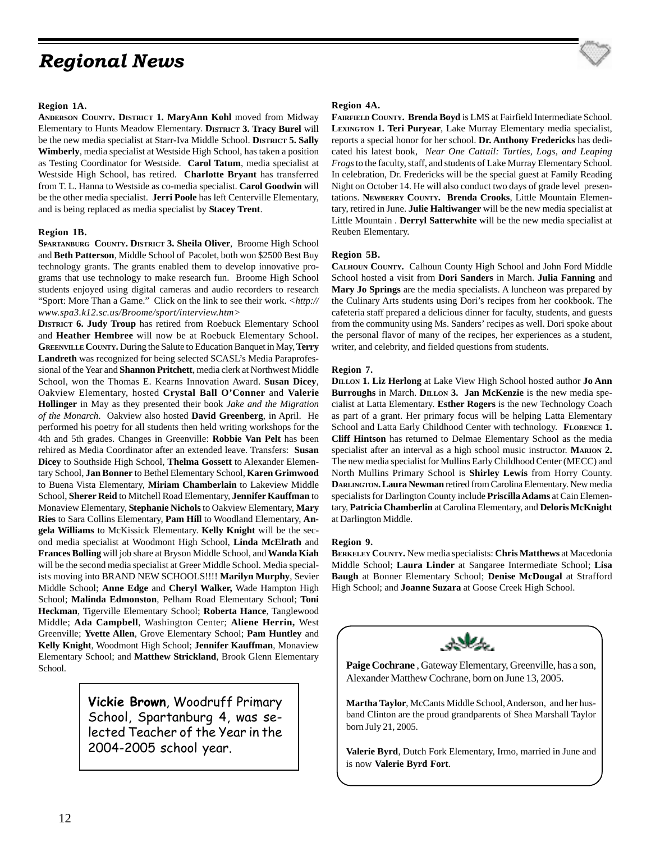# *Regional News*

#### **Region 1A.**

**ANDERSON COUNTY. DISTRICT 1. MaryAnn Kohl** moved from Midway Elementary to Hunts Meadow Elementary. **DISTRICT 3. Tracy Burel** will be the new media specialist at Starr-Iva Middle School. **DISTRICT 5. Sally Wimberly**, media specialist at Westside High School, has taken a position as Testing Coordinator for Westside. **Carol Tatum**, media specialist at Westside High School, has retired. **Charlotte Bryant** has transferred from T. L. Hanna to Westside as co-media specialist. **Carol Goodwin** will be the other media specialist. **Jerri Poole** has left Centerville Elementary, and is being replaced as media specialist by **Stacey Trent**.

#### **Region 1B.**

**SPARTANBURG COUNTY. DISTRICT 3. Sheila Oliver**, Broome High School and **Beth Patterson**, Middle School of Pacolet, both won \$2500 Best Buy technology grants. The grants enabled them to develop innovative programs that use technology to make research fun. Broome High School students enjoyed using digital cameras and audio recorders to research "Sport: More Than a Game." Click on the link to see their work. *<http:// www.spa3.k12.sc.us/Broome/sport/interview.htm>*

**DISTRICT 6. Judy Troup** has retired from Roebuck Elementary School and **Heather Hembree** will now be at Roebuck Elementary School. **GREENVILLE COUNTY.** During the Salute to Education Banquet in May, **Terry Landreth** was recognized for being selected SCASL's Media Paraprofessional of the Year and **Shannon Pritchett**, media clerk at Northwest Middle School, won the Thomas E. Kearns Innovation Award. **Susan Dicey**, Oakview Elementary, hosted **Crystal Ball O'Conner** and **Valerie Hollinger** in May as they presented their book *Jake and the Migration of the Monarch*. Oakview also hosted **David Greenberg**, in April. He performed his poetry for all students then held writing workshops for the 4th and 5th grades. Changes in Greenville: **Robbie Van Pelt** has been rehired as Media Coordinator after an extended leave. Transfers: **Susan Dicey** to Southside High School, **Thelma Gossett** to Alexander Elementary School, **Jan Bonner** to Bethel Elementary School, **Karen Grimwood** to Buena Vista Elementary, **Miriam Chamberlain** to Lakeview Middle School, **Sherer Reid** to Mitchell Road Elementary, **Jennifer Kauffman** to Monaview Elementary, **Stephanie Nichols** to Oakview Elementary, **Mary Ries** to Sara Collins Elementary, **Pam Hill** to Woodland Elementary, **Angela Williams** to McKissick Elementary. **Kelly Knight** will be the second media specialist at Woodmont High School, **Linda McElrath** and **Frances Bolling** will job share at Bryson Middle School, and **Wanda Kiah** will be the second media specialist at Greer Middle School. Media specialists moving into BRAND NEW SCHOOLS!!!! **Marilyn Murphy**, Sevier Middle School; **Anne Edge** and **Cheryl Walker,** Wade Hampton High School; **Malinda Edmonston**, Pelham Road Elementary School; **Toni Heckman**, Tigerville Elementary School; **Roberta Hance**, Tanglewood Middle; **Ada Campbell**, Washington Center; **Aliene Herrin,** West Greenville; **Yvette Allen**, Grove Elementary School; **Pam Huntley** and **Kelly Knight**, Woodmont High School; **Jennifer Kauffman**, Monaview Elementary School; and **Matthew Strickland**, Brook Glenn Elementary School.

> **Vickie Brown**, Woodruff Primary School, Spartanburg 4, was selected Teacher of the Year in the 2004-2005 school year.

#### **Region 4A.**

**FAIRFIELD COUNTY. Brenda Boyd** is LMS at Fairfield Intermediate School. **LEXINGTON 1. Teri Puryear**, Lake Murray Elementary media specialist, reports a special honor for her school. **Dr. Anthony Fredericks** has dedicated his latest book, *Near One Cattail: Turtles, Logs, and Leaping Frogs* to the faculty, staff, and students of Lake Murray Elementary School. In celebration, Dr. Fredericks will be the special guest at Family Reading Night on October 14. He will also conduct two days of grade level presentations. **NEWBERRY COUNTY. Brenda Crooks**, Little Mountain Elementary, retired in June. **Julie Haltiwanger** will be the new media specialist at Little Mountain . **Derryl Satterwhite** will be the new media specialist at Reuben Elementary.

#### **Region 5B.**

**CALHOUN COUNTY.** Calhoun County High School and John Ford Middle School hosted a visit from **Dori Sanders** in March. **Julia Fanning** and **Mary Jo Springs** are the media specialists. A luncheon was prepared by the Culinary Arts students using Dori's recipes from her cookbook. The cafeteria staff prepared a delicious dinner for faculty, students, and guests from the community using Ms. Sanders' recipes as well. Dori spoke about the personal flavor of many of the recipes, her experiences as a student, writer, and celebrity, and fielded questions from students.

#### **Region 7.**

**DILLON 1. Liz Herlong** at Lake View High School hosted author **Jo Ann Burroughs** in March. **DILLON 3. Jan McKenzie** is the new media specialist at Latta Elementary. **Esther Rogers** is the new Technology Coach as part of a grant. Her primary focus will be helping Latta Elementary School and Latta Early Childhood Center with technology. **FLORENCE 1. Cliff Hintson** has returned to Delmae Elementary School as the media specialist after an interval as a high school music instructor. **MARION 2.** The new media specialist for Mullins Early Childhood Center (MECC) and North Mullins Primary School is **Shirley Lewis** from Horry County. **DARLINGTON. Laura Newman** retired from Carolina Elementary. New media specialists for Darlington County include **Priscilla Adams** at Cain Elementary, **Patricia Chamberlin** at Carolina Elementary, and **Deloris McKnight** at Darlington Middle.

#### **Region 9.**

**BERKELEY COUNTY.** New media specialists: **Chris Matthews** at Macedonia Middle School; **Laura Linder** at Sangaree Intermediate School; **Lisa Baugh** at Bonner Elementary School; **Denise McDougal** at Strafford High School; and **Joanne Suzara** at Goose Creek High School.



**Paige Cochrane** , Gateway Elementary, Greenville, has a son, Alexander Matthew Cochrane, born on June 13, 2005.

**Martha Taylor**, McCants Middle School, Anderson, and her husband Clinton are the proud grandparents of Shea Marshall Taylor born July 21, 2005.

**Valerie Byrd**, Dutch Fork Elementary, Irmo, married in June and is now **Valerie Byrd Fort**.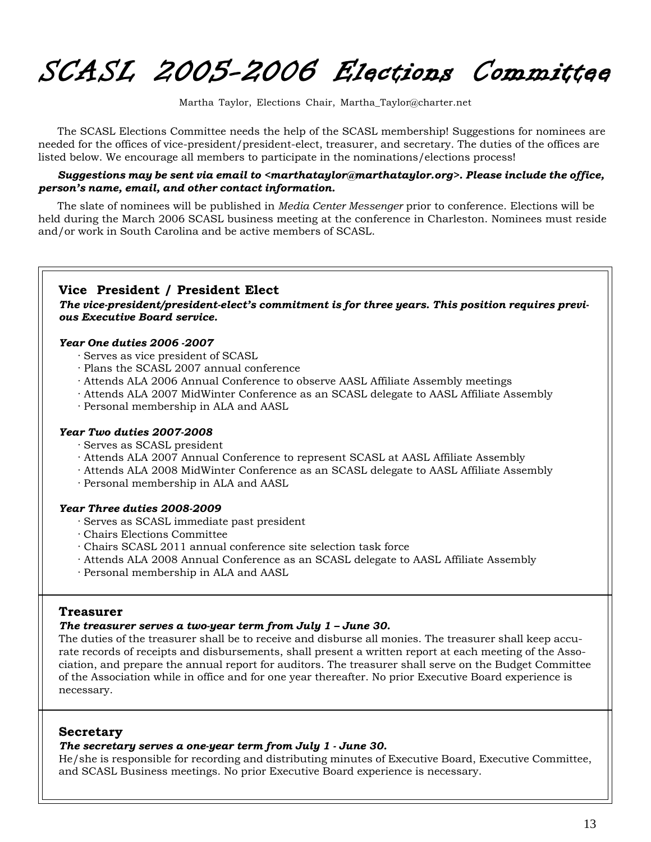SCASL 2005-2006 Elections Committee

Martha Taylor, Elections Chair, Martha\_Taylor@charter.net

The SCASL Elections Committee needs the help of the SCASL membership! Suggestions for nominees are needed for the offices of vice-president/president-elect, treasurer, and secretary. The duties of the offices are listed below. We encourage all members to participate in the nominations/elections process!

#### *Suggestions may be sent via email to <marthataylor@marthataylor.org>. Please include the office, person's name, email, and other contact information.*

The slate of nominees will be published in *Media Center Messenger* prior to conference. Elections will be held during the March 2006 SCASL business meeting at the conference in Charleston. Nominees must reside and/or work in South Carolina and be active members of SCASL.

#### **Vice President / President Elect**

*The vice-president/president-elect's commitment is for three years. This position requires previous Executive Board service.*

#### *Year One duties 2006 -2007*

- · Serves as vice president of SCASL
- · Plans the SCASL 2007 annual conference
- · Attends ALA 2006 Annual Conference to observe AASL Affiliate Assembly meetings
- · Attends ALA 2007 MidWinter Conference as an SCASL delegate to AASL Affiliate Assembly
- · Personal membership in ALA and AASL

#### *Year Two duties 2007-2008*

- · Serves as SCASL president
- · Attends ALA 2007 Annual Conference to represent SCASL at AASL Affiliate Assembly
- · Attends ALA 2008 MidWinter Conference as an SCASL delegate to AASL Affiliate Assembly
- · Personal membership in ALA and AASL

#### *Year Three duties 2008-2009*

- · Serves as SCASL immediate past president
- · Chairs Elections Committee
- · Chairs SCASL 2011 annual conference site selection task force
- · Attends ALA 2008 Annual Conference as an SCASL delegate to AASL Affiliate Assembly
- · Personal membership in ALA and AASL

#### **Treasurer**

#### *The treasurer serves a two-year term from July 1 – June 30.*

The duties of the treasurer shall be to receive and disburse all monies. The treasurer shall keep accurate records of receipts and disbursements, shall present a written report at each meeting of the Association, and prepare the annual report for auditors. The treasurer shall serve on the Budget Committee of the Association while in office and for one year thereafter. No prior Executive Board experience is necessary.

#### **Secretary**

#### *The secretary serves a one-year term from July 1 - June 30.*

He/she is responsible for recording and distributing minutes of Executive Board, Executive Committee, and SCASL Business meetings. No prior Executive Board experience is necessary.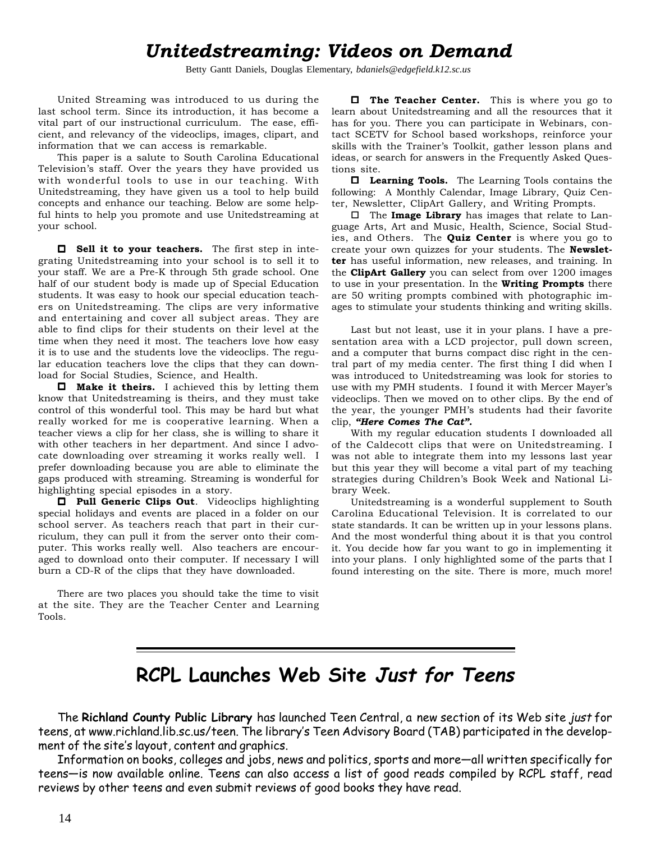# *Unitedstreaming: Videos on Demand*

Betty Gantt Daniels, Douglas Elementary, *bdaniels@edgefield.k12.sc.us*

United Streaming was introduced to us during the last school term. Since its introduction, it has become a vital part of our instructional curriculum. The ease, efficient, and relevancy of the videoclips, images, clipart, and information that we can access is remarkable.

This paper is a salute to South Carolina Educational Television's staff. Over the years they have provided us with wonderful tools to use in our teaching. With Unitedstreaming, they have given us a tool to help build concepts and enhance our teaching. Below are some helpful hints to help you promote and use Unitedstreaming at your school.

 **Sell it to your teachers.** The first step in integrating Unitedstreaming into your school is to sell it to your staff. We are a Pre-K through 5th grade school. One half of our student body is made up of Special Education students. It was easy to hook our special education teachers on Unitedstreaming. The clips are very informative and entertaining and cover all subject areas. They are able to find clips for their students on their level at the time when they need it most. The teachers love how easy it is to use and the students love the videoclips. The regular education teachers love the clips that they can download for Social Studies, Science, and Health.

 **Make it theirs.** I achieved this by letting them know that Unitedstreaming is theirs, and they must take control of this wonderful tool. This may be hard but what really worked for me is cooperative learning. When a teacher views a clip for her class, she is willing to share it with other teachers in her department. And since I advocate downloading over streaming it works really well. I prefer downloading because you are able to eliminate the gaps produced with streaming. Streaming is wonderful for highlighting special episodes in a story.

 **Pull Generic Clips Out**. Videoclips highlighting special holidays and events are placed in a folder on our school server. As teachers reach that part in their curriculum, they can pull it from the server onto their computer. This works really well. Also teachers are encouraged to download onto their computer. If necessary I will burn a CD-R of the clips that they have downloaded.

There are two places you should take the time to visit at the site. They are the Teacher Center and Learning Tools.

**The Teacher Center.** This is where you go to learn about Unitedstreaming and all the resources that it has for you. There you can participate in Webinars, contact SCETV for School based workshops, reinforce your skills with the Trainer's Toolkit, gather lesson plans and ideas, or search for answers in the Frequently Asked Questions site.

 **Learning Tools.** The Learning Tools contains the following: A Monthly Calendar, Image Library, Quiz Center, Newsletter, ClipArt Gallery, and Writing Prompts.

 The **Image Library** has images that relate to Language Arts, Art and Music, Health, Science, Social Studies, and Others. The **Quiz Center** is where you go to create your own quizzes for your students. The **Newsletter** has useful information, new releases, and training. In the **ClipArt Gallery** you can select from over 1200 images to use in your presentation. In the **Writing Prompts** there are 50 writing prompts combined with photographic images to stimulate your students thinking and writing skills.

Last but not least, use it in your plans. I have a presentation area with a LCD projector, pull down screen, and a computer that burns compact disc right in the central part of my media center. The first thing I did when I was introduced to Unitedstreaming was look for stories to use with my PMH students. I found it with Mercer Mayer's videoclips. Then we moved on to other clips. By the end of the year, the younger PMH's students had their favorite clip, *"Here Comes The Cat".*

With my regular education students I downloaded all of the Caldecott clips that were on Unitedstreaming. I was not able to integrate them into my lessons last year but this year they will become a vital part of my teaching strategies during Children's Book Week and National Library Week.

Unitedstreaming is a wonderful supplement to South Carolina Educational Television. It is correlated to our state standards. It can be written up in your lessons plans. And the most wonderful thing about it is that you control it. You decide how far you want to go in implementing it into your plans. I only highlighted some of the parts that I found interesting on the site. There is more, much more!

# **RCPL Launches Web Site Just for Teens**

The **Richland County Public Library** has launched Teen Central, a new section of its Web site just for teens, at www.richland.lib.sc.us/teen. The library's Teen Advisory Board (TAB) participated in the development of the site's layout, content and graphics.

Information on books, colleges and jobs, news and politics, sports and more—all written specifically for teens—is now available online. Teens can also access a list of good reads compiled by RCPL staff, read reviews by other teens and even submit reviews of good books they have read.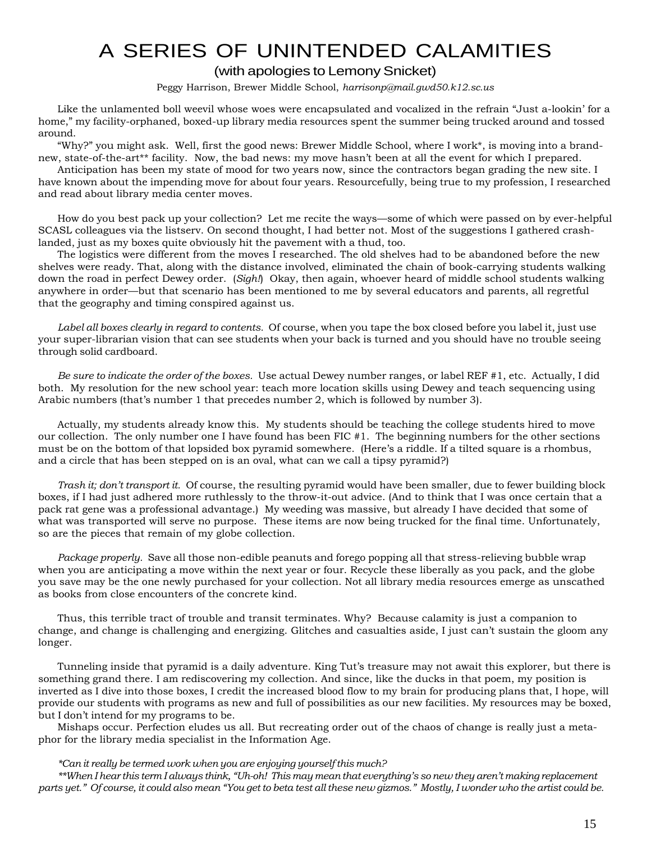# A SERIES OF UNINTENDED CALAMITIES

#### (with apologies to Lemony Snicket)

Peggy Harrison, Brewer Middle School, *harrisonp@mail.gwd50.k12.sc.us*

Like the unlamented boll weevil whose woes were encapsulated and vocalized in the refrain "Just a-lookin' for a home," my facility-orphaned, boxed-up library media resources spent the summer being trucked around and tossed around.

"Why?" you might ask. Well, first the good news: Brewer Middle School, where I work\*, is moving into a brandnew, state-of-the-art\*\* facility. Now, the bad news: my move hasn't been at all the event for which I prepared.

Anticipation has been my state of mood for two years now, since the contractors began grading the new site. I have known about the impending move for about four years. Resourcefully, being true to my profession, I researched and read about library media center moves.

How do you best pack up your collection? Let me recite the ways—some of which were passed on by ever-helpful SCASL colleagues via the listserv. On second thought, I had better not. Most of the suggestions I gathered crashlanded, just as my boxes quite obviously hit the pavement with a thud, too.

The logistics were different from the moves I researched. The old shelves had to be abandoned before the new shelves were ready. That, along with the distance involved, eliminated the chain of book-carrying students walking down the road in perfect Dewey order. (*Sigh!*) Okay, then again, whoever heard of middle school students walking anywhere in order—but that scenario has been mentioned to me by several educators and parents, all regretful that the geography and timing conspired against us.

*Label all boxes clearly in regard to contents.* Of course, when you tape the box closed before you label it, just use your super-librarian vision that can see students when your back is turned and you should have no trouble seeing through solid cardboard.

*Be sure to indicate the order of the boxes.* Use actual Dewey number ranges, or label REF #1, etc. Actually, I did both. My resolution for the new school year: teach more location skills using Dewey and teach sequencing using Arabic numbers (that's number 1 that precedes number 2, which is followed by number 3).

Actually, my students already know this. My students should be teaching the college students hired to move our collection. The only number one I have found has been FIC #1. The beginning numbers for the other sections must be on the bottom of that lopsided box pyramid somewhere. (Here's a riddle. If a tilted square is a rhombus, and a circle that has been stepped on is an oval, what can we call a tipsy pyramid?)

*Trash it; don't transport it.* Of course, the resulting pyramid would have been smaller, due to fewer building block boxes, if I had just adhered more ruthlessly to the throw-it-out advice. (And to think that I was once certain that a pack rat gene was a professional advantage.) My weeding was massive, but already I have decided that some of what was transported will serve no purpose. These items are now being trucked for the final time. Unfortunately, so are the pieces that remain of my globe collection.

*Package properly.* Save all those non-edible peanuts and forego popping all that stress-relieving bubble wrap when you are anticipating a move within the next year or four. Recycle these liberally as you pack, and the globe you save may be the one newly purchased for your collection. Not all library media resources emerge as unscathed as books from close encounters of the concrete kind.

Thus, this terrible tract of trouble and transit terminates. Why? Because calamity is just a companion to change, and change is challenging and energizing. Glitches and casualties aside, I just can't sustain the gloom any longer.

Tunneling inside that pyramid is a daily adventure. King Tut's treasure may not await this explorer, but there is something grand there. I am rediscovering my collection. And since, like the ducks in that poem, my position is inverted as I dive into those boxes, I credit the increased blood flow to my brain for producing plans that, I hope, will provide our students with programs as new and full of possibilities as our new facilities. My resources may be boxed, but I don't intend for my programs to be.

Mishaps occur. Perfection eludes us all. But recreating order out of the chaos of change is really just a metaphor for the library media specialist in the Information Age.

#### *\*Can it really be termed work when you are enjoying yourself this much?*

*\*\*When I hear this term I always think, "Uh-oh! This may mean that everything's so new they aren't making replacement parts yet." Of course, it could also mean "You get to beta test all these new gizmos." Mostly, I wonder who the artist could be.*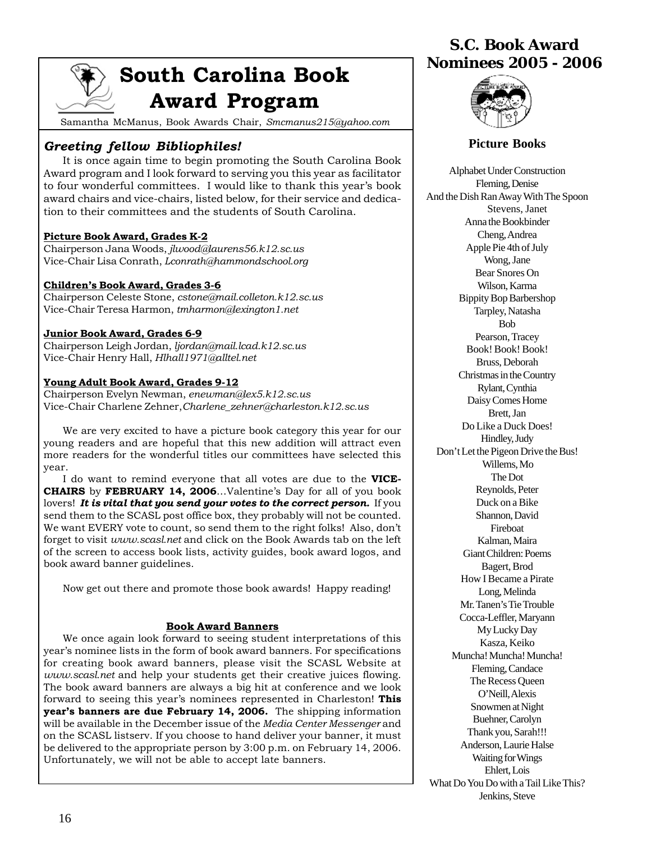# **South Carolina Book Award Program**

Samantha McManus, Book Awards Chair, *Smcmanus215@yahoo.com*

### *Greeting fellow Bibliophiles!*

It is once again time to begin promoting the South Carolina Book Award program and I look forward to serving you this year as facilitator to four wonderful committees. I would like to thank this year's book award chairs and vice-chairs, listed below, for their service and dedication to their committees and the students of South Carolina.

#### **Picture Book Award, Grades K-2**

Chairperson Jana Woods, *jlwood@laurens56.k12.sc.us* Vice-Chair Lisa Conrath, *Lconrath@hammondschool.org*

#### **Children's Book Award, Grades 3-6**

Chairperson Celeste Stone, *cstone@mail.colleton.k12.sc.us* Vice-Chair Teresa Harmon, *tmharmon@lexington1.net*

#### **Junior Book Award, Grades 6-9**

Chairperson Leigh Jordan, *ljordan@mail.lcad.k12.sc.us* Vice-Chair Henry Hall, *Hlhall1971@alltel.net*

#### **Young Adult Book Award, Grades 9-12**

Chairperson Evelyn Newman, *enewman@lex5.k12.sc.us* Vice-Chair Charlene Zehner,*Charlene\_zehner@charleston.k12.sc.us*

We are very excited to have a picture book category this year for our young readers and are hopeful that this new addition will attract even more readers for the wonderful titles our committees have selected this year.

I do want to remind everyone that all votes are due to the **VICE-CHAIRS** by **FEBRUARY 14, 2006**…Valentine's Day for all of you book lovers! *It is vital that you send your votes to the correct person.* If you send them to the SCASL post office box, they probably will not be counted. We want EVERY vote to count, so send them to the right folks! Also, don't forget to visit *www.scasl.net* and click on the Book Awards tab on the left of the screen to access book lists, activity guides, book award logos, and book award banner guidelines.

Now get out there and promote those book awards! Happy reading!

#### **Book Award Banners**

We once again look forward to seeing student interpretations of this year's nominee lists in the form of book award banners. For specifications for creating book award banners, please visit the SCASL Website at *www.scasl.net* and help your students get their creative juices flowing. The book award banners are always a big hit at conference and we look forward to seeing this year's nominees represented in Charleston! **This year's banners are due February 14, 2006.** The shipping information will be available in the December issue of the *Media Center Messenger* and on the SCASL listserv. If you choose to hand deliver your banner, it must be delivered to the appropriate person by 3:00 p.m. on February 14, 2006. Unfortunately, we will not be able to accept late banners.

# **S.C. Book Award Nominees 2005 - 2006**



#### **Picture Books**

Alphabet Under Construction Fleming, Denise And the Dish Ran Away With The Spoon Stevens, Janet Anna the Bookbinder Cheng, Andrea Apple Pie 4th of July Wong, Jane Bear Snores On Wilson, Karma Bippity Bop Barbershop Tarpley, Natasha Bob Pearson, Tracey Book! Book! Book! Bruss, Deborah Christmas in the Country Rylant, Cynthia Daisy Comes Home Brett, Jan Do Like a Duck Does! Hindley, Judy Don't Let the Pigeon Drive the Bus! Willems, Mo The Dot Reynolds, Peter Duck on a Bike Shannon, David Fireboat Kalman, Maira Giant Children: Poems Bagert, Brod How I Became a Pirate Long, Melinda Mr. Tanen's Tie Trouble Cocca-Leffler, Maryann My Lucky Day Kasza, Keiko Muncha! Muncha! Muncha! Fleming, Candace The Recess Queen O'Neill, Alexis Snowmen at Night Buehner, Carolyn Thank you, Sarah!!! Anderson, Laurie Halse Waiting for Wings Ehlert, Lois What Do You Do with a Tail Like This? Jenkins, Steve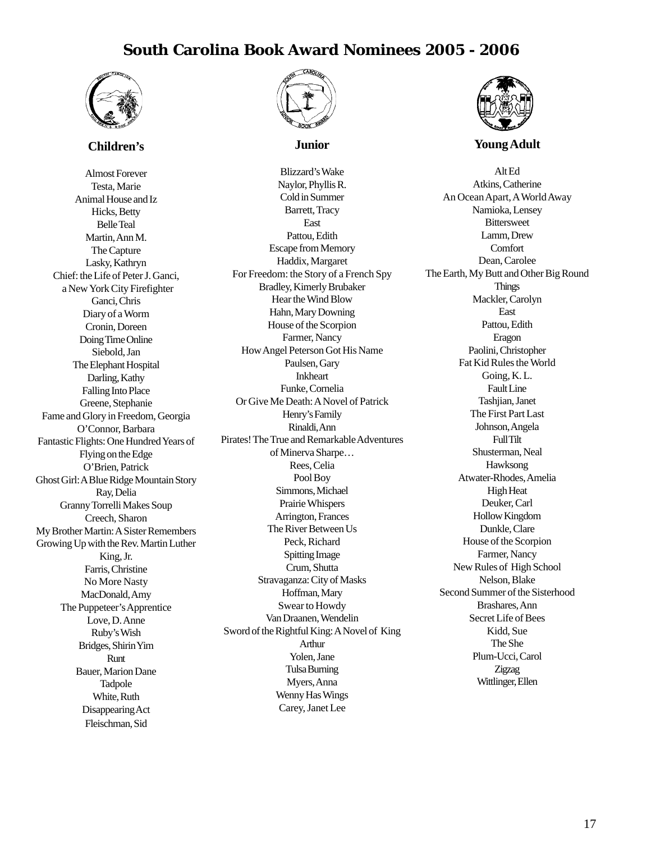## **South Carolina Book Award Nominees 2005 - 2006**



#### **Children's**

Almost Forever Testa, Marie Animal House and Iz Hicks, Betty Belle Teal Martin, Ann M. The Capture Lasky, Kathryn Chief: the Life of Peter J. Ganci, a New York City Firefighter Ganci, Chris Diary of a Worm Cronin, Doreen Doing Time Online Siebold, Jan The Elephant Hospital Darling, Kathy Falling Into Place Greene, Stephanie Fame and Glory in Freedom, Georgia O'Connor, Barbara Fantastic Flights: One Hundred Years of Flying on the Edge O'Brien, Patrick Ghost Girl: A Blue Ridge Mountain Story Ray, Delia Granny Torrelli Makes Soup Creech, Sharon My Brother Martin: A Sister Remembers Growing Up with the Rev. Martin Luther King, Jr. Farris, Christine No More Nasty MacDonald, Amy The Puppeteer's Apprentice Love, D. Anne Ruby's Wish Bridges, Shirin Yim Runt Bauer, Marion Dane Tadpole White, Ruth Disappearing Act Fleischman, Sid



#### **Junior**

Blizzard's Wake Naylor, Phyllis R. Cold in Summer Barrett, Tracy East Pattou, Edith Escape from Memory Haddix, Margaret For Freedom: the Story of a French Spy Bradley, Kimerly Brubaker Hear the Wind Blow Hahn, Mary Downing House of the Scorpion Farmer, Nancy How Angel Peterson Got His Name Paulsen, Gary Inkheart Funke, Cornelia Or Give Me Death: A Novel of Patrick Henry's Family Rinaldi, Ann Pirates! The True and Remarkable Adventures of Minerva Sharpe… Rees, Celia Pool Boy Simmons, Michael Prairie Whispers Arrington, Frances The River Between Us Peck, Richard Spitting Image Crum, Shutta Stravaganza: City of Masks Hoffman, Mary Swear to Howdy Van Draanen, Wendelin Sword of the Rightful King: A Novel of King Arthur Yolen, Jane Tulsa Burning Myers, Anna Wenny Has Wings Carey, Janet Lee



#### **Young Adult**

Alt Ed Atkins, Catherine An Ocean Apart, A World Away Namioka, Lensey **Bittersweet** Lamm, Drew **Comfort** Dean, Carolee The Earth, My Butt and Other Big Round **Things** Mackler, Carolyn East Pattou, Edith Eragon Paolini, Christopher Fat Kid Rules the World Going, K. L. Fault Line Tashjian, Janet The First Part Last Johnson, Angela Full Tilt Shusterman, Neal Hawksong Atwater-Rhodes, Amelia High Heat Deuker, Carl Hollow Kingdom Dunkle, Clare House of the Scorpion Farmer, Nancy New Rules of High School Nelson, Blake Second Summer of the Sisterhood Brashares, Ann Secret Life of Bees Kidd, Sue The She Plum-Ucci, Carol Zigzag Wittlinger, Ellen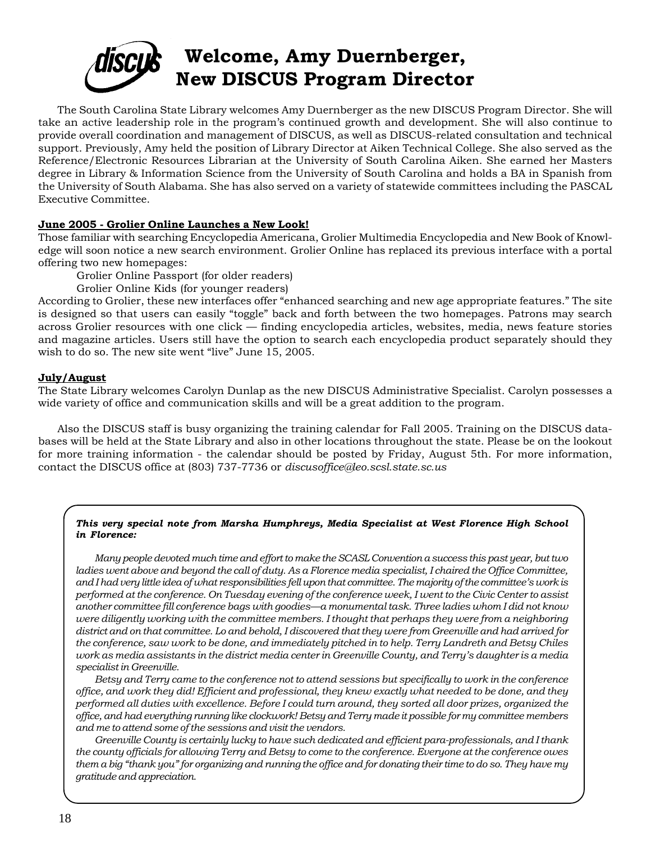

The South Carolina State Library welcomes Amy Duernberger as the new DISCUS Program Director. She will take an active leadership role in the program's continued growth and development. She will also continue to provide overall coordination and management of DISCUS, as well as DISCUS-related consultation and technical support. Previously, Amy held the position of Library Director at Aiken Technical College. She also served as the Reference/Electronic Resources Librarian at the University of South Carolina Aiken. She earned her Masters degree in Library & Information Science from the University of South Carolina and holds a BA in Spanish from the University of South Alabama. She has also served on a variety of statewide committees including the PASCAL Executive Committee.

#### **June 2005 - Grolier Online Launches a New Look!**

Those familiar with searching Encyclopedia Americana, Grolier Multimedia Encyclopedia and New Book of Knowledge will soon notice a new search environment. Grolier Online has replaced its previous interface with a portal offering two new homepages:

Grolier Online Passport (for older readers)

Grolier Online Kids (for younger readers)

According to Grolier, these new interfaces offer "enhanced searching and new age appropriate features." The site is designed so that users can easily "toggle" back and forth between the two homepages. Patrons may search across Grolier resources with one click — finding encyclopedia articles, websites, media, news feature stories and magazine articles. Users still have the option to search each encyclopedia product separately should they wish to do so. The new site went "live" June 15, 2005.

#### **July/August**

The State Library welcomes Carolyn Dunlap as the new DISCUS Administrative Specialist. Carolyn possesses a wide variety of office and communication skills and will be a great addition to the program.

Also the DISCUS staff is busy organizing the training calendar for Fall 2005. Training on the DISCUS databases will be held at the State Library and also in other locations throughout the state. Please be on the lookout for more training information - the calendar should be posted by Friday, August 5th. For more information, contact the DISCUS office at (803) 737-7736 or *discusoffice@leo.scsl.state.sc.us*

#### *This very special note from Marsha Humphreys, Media Specialist at West Florence High School in Florence:*

*Many people devoted much time and effort to make the SCASL Convention a success this past year, but two ladies went above and beyond the call of duty. As a Florence media specialist, I chaired the Office Committee, and I had very little idea of what responsibilities fell upon that committee. The majority of the committee's work is performed at the conference. On Tuesday evening of the conference week, I went to the Civic Center to assist another committee fill conference bags with goodies—a monumental task. Three ladies whom I did not know were diligently working with the committee members. I thought that perhaps they were from a neighboring district and on that committee. Lo and behold, I discovered that they were from Greenville and had arrived for the conference, saw work to be done, and immediately pitched in to help. Terry Landreth and Betsy Chiles work as media assistants in the district media center in Greenville County, and Terry's daughter is a media specialist in Greenville.*

*Betsy and Terry came to the conference not to attend sessions but specifically to work in the conference office, and work they did! Efficient and professional, they knew exactly what needed to be done, and they performed all duties with excellence. Before I could turn around, they sorted all door prizes, organized the office, and had everything running like clockwork! Betsy and Terry made it possible for my committee members and me to attend some of the sessions and visit the vendors.*

*Greenville County is certainly lucky to have such dedicated and efficient para-professionals, and I thank the county officials for allowing Terry and Betsy to come to the conference. Everyone at the conference owes them a big "thank you" for organizing and running the office and for donating their time to do so. They have my gratitude and appreciation.*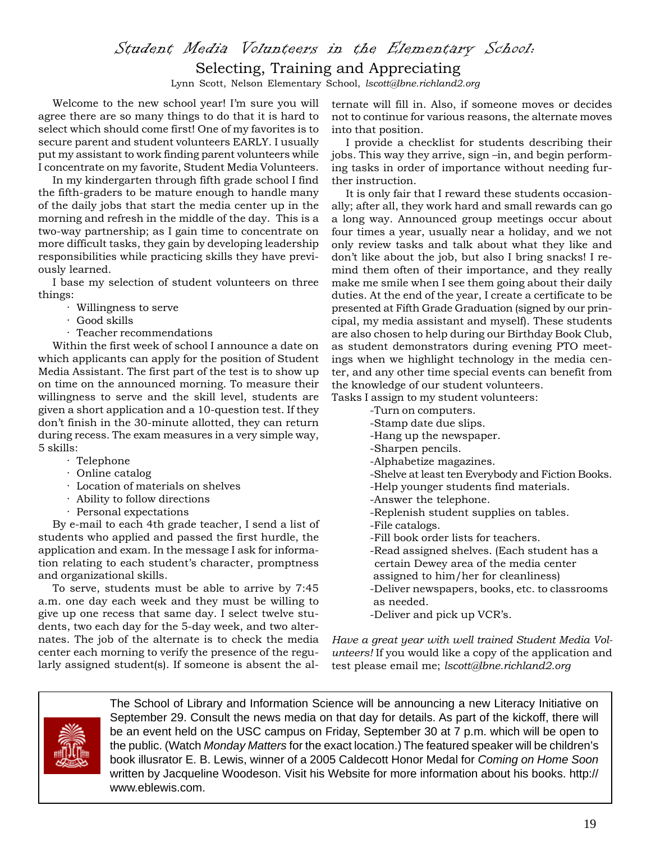# Student Media Volunteers in the Elementary School:

### Selecting, Training and Appreciating

Lynn Scott, Nelson Elementary School, *lscott@lbne.richland2.org*

Welcome to the new school year! I'm sure you will agree there are so many things to do that it is hard to select which should come first! One of my favorites is to secure parent and student volunteers EARLY. I usually put my assistant to work finding parent volunteers while I concentrate on my favorite, Student Media Volunteers.

In my kindergarten through fifth grade school I find the fifth-graders to be mature enough to handle many of the daily jobs that start the media center up in the morning and refresh in the middle of the day. This is a two-way partnership; as I gain time to concentrate on more difficult tasks, they gain by developing leadership responsibilities while practicing skills they have previously learned.

I base my selection of student volunteers on three things:

- · Willingness to serve
- · Good skills
- · Teacher recommendations

Within the first week of school I announce a date on which applicants can apply for the position of Student Media Assistant. The first part of the test is to show up on time on the announced morning. To measure their willingness to serve and the skill level, students are given a short application and a 10-question test. If they don't finish in the 30-minute allotted, they can return during recess. The exam measures in a very simple way, 5 skills:

- · Telephone
- · Online catalog
- · Location of materials on shelves
- · Ability to follow directions
- · Personal expectations

By e-mail to each 4th grade teacher, I send a list of students who applied and passed the first hurdle, the application and exam. In the message I ask for information relating to each student's character, promptness and organizational skills.

To serve, students must be able to arrive by 7:45 a.m. one day each week and they must be willing to give up one recess that same day. I select twelve students, two each day for the 5-day week, and two alternates. The job of the alternate is to check the media center each morning to verify the presence of the regularly assigned student(s). If someone is absent the alternate will fill in. Also, if someone moves or decides not to continue for various reasons, the alternate moves into that position.

I provide a checklist for students describing their jobs. This way they arrive, sign –in, and begin performing tasks in order of importance without needing further instruction.

It is only fair that I reward these students occasionally; after all, they work hard and small rewards can go a long way. Announced group meetings occur about four times a year, usually near a holiday, and we not only review tasks and talk about what they like and don't like about the job, but also I bring snacks! I remind them often of their importance, and they really make me smile when I see them going about their daily duties. At the end of the year, I create a certificate to be presented at Fifth Grade Graduation (signed by our principal, my media assistant and myself). These students are also chosen to help during our Birthday Book Club, as student demonstrators during evening PTO meetings when we highlight technology in the media center, and any other time special events can benefit from the knowledge of our student volunteers.

Tasks I assign to my student volunteers: -Turn on computers.

- -Stamp date due slips.
- -Hang up the newspaper.
- -Sharpen pencils.
- -Alphabetize magazines.
- -Shelve at least ten Everybody and Fiction Books.
- -Help younger students find materials.
- -Answer the telephone.
- -Replenish student supplies on tables.
- -File catalogs.
- -Fill book order lists for teachers.
- -Read assigned shelves. (Each student has a certain Dewey area of the media center assigned to him/her for cleanliness)
- -Deliver newspapers, books, etc. to classrooms as needed.
- -Deliver and pick up VCR's.

*Have a great year with well trained Student Media Volunteers!* If you would like a copy of the application and test please email me; *lscott@lbne.richland2.org*



The School of Library and Information Science will be announcing a new Literacy Initiative on September 29. Consult the news media on that day for details. As part of the kickoff, there will be an event held on the USC campus on Friday, September 30 at 7 p.m. which will be open to the public. (Watch *Monday Matters* for the exact location.) The featured speaker will be children's book illusrator E. B. Lewis, winner of a 2005 Caldecott Honor Medal for *Coming on Home Soon* written by Jacqueline Woodeson. Visit his Website for more information about his books. http:// www.eblewis.com.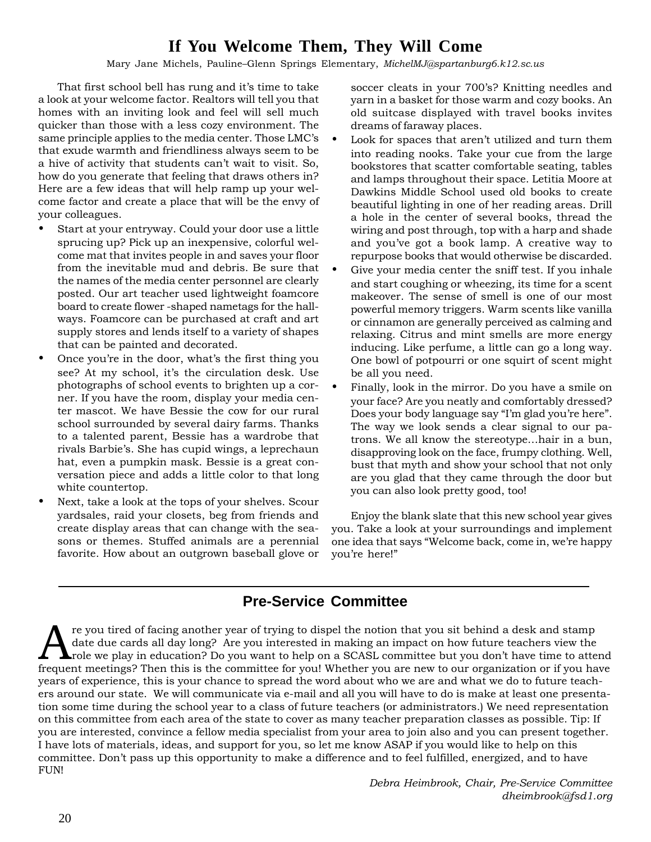# **If You Welcome Them, They Will Come**

Mary Jane Michels, Pauline–Glenn Springs Elementary, *MichelMJ@spartanburg6.k12.sc.us*

That first school bell has rung and it's time to take a look at your welcome factor. Realtors will tell you that homes with an inviting look and feel will sell much quicker than those with a less cozy environment. The same principle applies to the media center. Those LMC's that exude warmth and friendliness always seem to be a hive of activity that students can't wait to visit. So, how do you generate that feeling that draws others in? Here are a few ideas that will help ramp up your welcome factor and create a place that will be the envy of your colleagues.

- Start at your entryway. Could your door use a little sprucing up? Pick up an inexpensive, colorful welcome mat that invites people in and saves your floor from the inevitable mud and debris. Be sure that the names of the media center personnel are clearly posted. Our art teacher used lightweight foamcore board to create flower -shaped nametags for the hallways. Foamcore can be purchased at craft and art supply stores and lends itself to a variety of shapes that can be painted and decorated.
- Once you're in the door, what's the first thing you see? At my school, it's the circulation desk. Use photographs of school events to brighten up a corner. If you have the room, display your media center mascot. We have Bessie the cow for our rural school surrounded by several dairy farms. Thanks to a talented parent, Bessie has a wardrobe that rivals Barbie's. She has cupid wings, a leprechaun hat, even a pumpkin mask. Bessie is a great conversation piece and adds a little color to that long white countertop.
- Next, take a look at the tops of your shelves. Scour yardsales, raid your closets, beg from friends and create display areas that can change with the seasons or themes. Stuffed animals are a perennial favorite. How about an outgrown baseball glove or

soccer cleats in your 700's? Knitting needles and yarn in a basket for those warm and cozy books. An old suitcase displayed with travel books invites dreams of faraway places.

- Look for spaces that aren't utilized and turn them into reading nooks. Take your cue from the large bookstores that scatter comfortable seating, tables and lamps throughout their space. Letitia Moore at Dawkins Middle School used old books to create beautiful lighting in one of her reading areas. Drill a hole in the center of several books, thread the wiring and post through, top with a harp and shade and you've got a book lamp. A creative way to repurpose books that would otherwise be discarded.
- Give your media center the sniff test. If you inhale and start coughing or wheezing, its time for a scent makeover. The sense of smell is one of our most powerful memory triggers. Warm scents like vanilla or cinnamon are generally perceived as calming and relaxing. Citrus and mint smells are more energy inducing. Like perfume, a little can go a long way. One bowl of potpourri or one squirt of scent might be all you need.
- Finally, look in the mirror. Do you have a smile on your face? Are you neatly and comfortably dressed? Does your body language say "I'm glad you're here". The way we look sends a clear signal to our patrons. We all know the stereotype…hair in a bun, disapproving look on the face, frumpy clothing. Well, bust that myth and show your school that not only are you glad that they came through the door but you can also look pretty good, too!

Enjoy the blank slate that this new school year gives you. Take a look at your surroundings and implement one idea that says "Welcome back, come in, we're happy you're here!"

# **Pre-Service Committee**

re you tired of facing another year of trying to dispel the notion that you sit behind a desk and stamp date due cards all day long? Are you interested in making an impact on how future teachers view the **L** role we play in education? Do you want to help on a SCASL committee but you don't have time to attend frequent meetings? Then this is the committee for you! Whether you are new to our organization or if you have years of experience, this is your chance to spread the word about who we are and what we do to future teachers around our state. We will communicate via e-mail and all you will have to do is make at least one presentation some time during the school year to a class of future teachers (or administrators.) We need representation on this committee from each area of the state to cover as many teacher preparation classes as possible. Tip: If you are interested, convince a fellow media specialist from your area to join also and you can present together. I have lots of materials, ideas, and support for you, so let me know ASAP if you would like to help on this committee. Don't pass up this opportunity to make a difference and to feel fulfilled, energized, and to have FUN!

> *Debra Heimbrook, Chair, Pre-Service Committee dheimbrook@fsd1.org*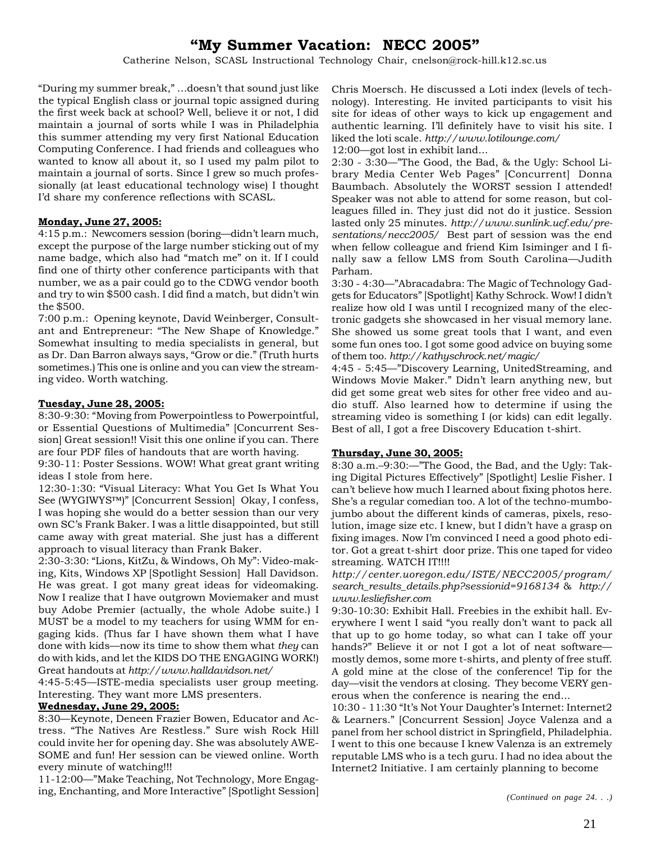# **"My Summer Vacation: NECC 2005"**

Catherine Nelson, SCASL Instructional Technology Chair, cnelson@rock-hill.k12.sc.us

"During my summer break," …doesn't that sound just like the typical English class or journal topic assigned during the first week back at school? Well, believe it or not, I did maintain a journal of sorts while I was in Philadelphia this summer attending my very first National Education Computing Conference. I had friends and colleagues who wanted to know all about it, so I used my palm pilot to maintain a journal of sorts. Since I grew so much professionally (at least educational technology wise) I thought I'd share my conference reflections with SCASL.

#### **Monday, June 27, 2005:**

4:15 p.m.: Newcomers session (boring—didn't learn much, except the purpose of the large number sticking out of my name badge, which also had "match me" on it. If I could find one of thirty other conference participants with that number, we as a pair could go to the CDWG vendor booth and try to win \$500 cash. I did find a match, but didn't win the \$500.

7:00 p.m.: Opening keynote, David Weinberger, Consultant and Entrepreneur: "The New Shape of Knowledge." Somewhat insulting to media specialists in general, but as Dr. Dan Barron always says, "Grow or die." (Truth hurts sometimes.) This one is online and you can view the streaming video. Worth watching.

#### **Tuesday, June 28, 2005:**

8:30-9:30: "Moving from Powerpointless to Powerpointful, or Essential Questions of Multimedia" [Concurrent Session] Great session!! Visit this one online if you can. There are four PDF files of handouts that are worth having.

9:30-11: Poster Sessions. WOW! What great grant writing ideas I stole from here.

12:30-1:30: "Visual Literacy: What You Get Is What You See (WYGIWYS™)" [Concurrent Session] Okay, I confess, I was hoping she would do a better session than our very own SC's Frank Baker. I was a little disappointed, but still came away with great material. She just has a different approach to visual literacy than Frank Baker.

2:30-3:30: "Lions, KitZu, & Windows, Oh My": Video-making, Kits, Windows XP [Spotlight Session] Hall Davidson. He was great. I got many great ideas for videomaking. Now I realize that I have outgrown Moviemaker and must buy Adobe Premier (actually, the whole Adobe suite.) I MUST be a model to my teachers for using WMM for engaging kids. (Thus far I have shown them what I have done with kids—now its time to show them what *they* can do with kids, and let the KIDS DO THE ENGAGING WORK!) Great handouts at *http://www.halldavidson.net/*

4:45-5:45—ISTE-media specialists user group meeting. Interesting. They want more LMS presenters.

#### **Wednesday, June 29, 2005:**

8:30—Keynote, Deneen Frazier Bowen, Educator and Actress. "The Natives Are Restless." Sure wish Rock Hill could invite her for opening day. She was absolutely AWE-SOME and fun! Her session can be viewed online. Worth every minute of watching!!!

11-12:00—"Make Teaching, Not Technology, More Engaging, Enchanting, and More Interactive" [Spotlight Session] Chris Moersch. He discussed a Loti index (levels of technology). Interesting. He invited participants to visit his site for ideas of other ways to kick up engagement and authentic learning. I'll definitely have to visit his site. I liked the loti scale. *http://www.lotilounge.com/*

12:00—got lost in exhibit land...

2:30 - 3:30—"The Good, the Bad, & the Ugly: School Library Media Center Web Pages" [Concurrent] Donna Baumbach. Absolutely the WORST session I attended! Speaker was not able to attend for some reason, but colleagues filled in. They just did not do it justice. Session lasted only 25 minutes. *http://www.sunlink.ucf.edu/presentations/necc2005/* Best part of session was the end when fellow colleague and friend Kim Isiminger and I finally saw a fellow LMS from South Carolina—Judith Parham.

3:30 - 4:30—"Abracadabra: The Magic of Technology Gadgets for Educators" [Spotlight] Kathy Schrock. Wow! I didn't realize how old I was until I recognized many of the electronic gadgets she showcased in her visual memory lane. She showed us some great tools that I want, and even some fun ones too. I got some good advice on buying some of them too. *http://kathyschrock.net/magic/*

4:45 - 5:45—"Discovery Learning, UnitedStreaming, and Windows Movie Maker." Didn't learn anything new, but did get some great web sites for other free video and audio stuff. Also learned how to determine if using the streaming video is something I (or kids) can edit legally. Best of all, I got a free Discovery Education t-shirt.

#### **Thursday, June 30, 2005:**

8:30 a.m.–9:30:—"The Good, the Bad, and the Ugly: Taking Digital Pictures Effectively" [Spotlight] Leslie Fisher. I can't believe how much I learned about fixing photos here. She's a regular comedian too. A lot of the techno-mumbojumbo about the different kinds of cameras, pixels, resolution, image size etc. I knew, but I didn't have a grasp on fixing images. Now I'm convinced I need a good photo editor. Got a great t-shirt door prize. This one taped for video streaming. WATCH IT!!!!

*http://center.uoregon.edu/ISTE/NECC2005/program/ search\_results\_details.php?sessionid=9168134* & *http:// www.lesliefisher.com*

9:30-10:30: Exhibit Hall. Freebies in the exhibit hall. Everywhere I went I said "you really don't want to pack all that up to go home today, so what can I take off your hands?" Believe it or not I got a lot of neat software mostly demos, some more t-shirts, and plenty of free stuff. A gold mine at the close of the conference! Tip for the day—visit the vendors at closing. They become VERY generous when the conference is nearing the end...

10:30 - 11:30 "It's Not Your Daughter's Internet: Internet2 & Learners." [Concurrent Session] Joyce Valenza and a panel from her school district in Springfield, Philadelphia. I went to this one because I knew Valenza is an extremely reputable LMS who is a tech guru. I had no idea about the Internet2 Initiative. I am certainly planning to become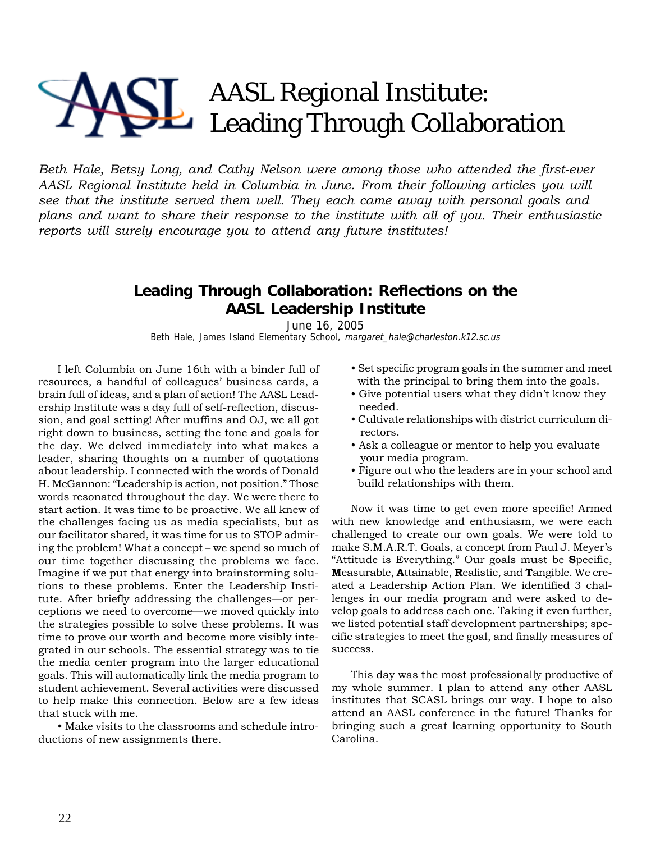# AASL Regional Institute: Leading Through Collaboration

*Beth Hale, Betsy Long, and Cathy Nelson were among those who attended the first-ever AASL Regional Institute held in Columbia in June. From their following articles you will see that the institute served them well. They each came away with personal goals and plans and want to share their response to the institute with all of you. Their enthusiastic reports will surely encourage you to attend any future institutes!*

## **Leading Through Collaboration: Reflections on the AASL Leadership Institute**

June 16, 2005 Beth Hale, James Island Elementary School, margaret\_hale@charleston.k12.sc.us

I left Columbia on June 16th with a binder full of resources, a handful of colleagues' business cards, a brain full of ideas, and a plan of action! The AASL Leadership Institute was a day full of self-reflection, discussion, and goal setting! After muffins and OJ, we all got right down to business, setting the tone and goals for the day. We delved immediately into what makes a leader, sharing thoughts on a number of quotations about leadership. I connected with the words of Donald H. McGannon: "Leadership is action, not position." Those words resonated throughout the day. We were there to start action. It was time to be proactive. We all knew of the challenges facing us as media specialists, but as our facilitator shared, it was time for us to STOP admiring the problem! What a concept – we spend so much of our time together discussing the problems we face. Imagine if we put that energy into brainstorming solutions to these problems. Enter the Leadership Institute. After briefly addressing the challenges—or perceptions we need to overcome—we moved quickly into the strategies possible to solve these problems. It was time to prove our worth and become more visibly integrated in our schools. The essential strategy was to tie the media center program into the larger educational goals. This will automatically link the media program to student achievement. Several activities were discussed to help make this connection. Below are a few ideas that stuck with me.

• Make visits to the classrooms and schedule introductions of new assignments there.

- Set specific program goals in the summer and meet with the principal to bring them into the goals.
- Give potential users what they didn't know they needed.
- Cultivate relationships with district curriculum di rectors.
- Ask a colleague or mentor to help you evaluate your media program.
- Figure out who the leaders are in your school and build relationships with them.

Now it was time to get even more specific! Armed with new knowledge and enthusiasm, we were each challenged to create our own goals. We were told to make S.M.A.R.T. Goals, a concept from Paul J. Meyer's "Attitude is Everything." Our goals must be **S**pecific, **M**easurable, **A**ttainable, **R**ealistic, and **T**angible. We created a Leadership Action Plan. We identified 3 challenges in our media program and were asked to develop goals to address each one. Taking it even further, we listed potential staff development partnerships; specific strategies to meet the goal, and finally measures of success.

This day was the most professionally productive of my whole summer. I plan to attend any other AASL institutes that SCASL brings our way. I hope to also attend an AASL conference in the future! Thanks for bringing such a great learning opportunity to South Carolina.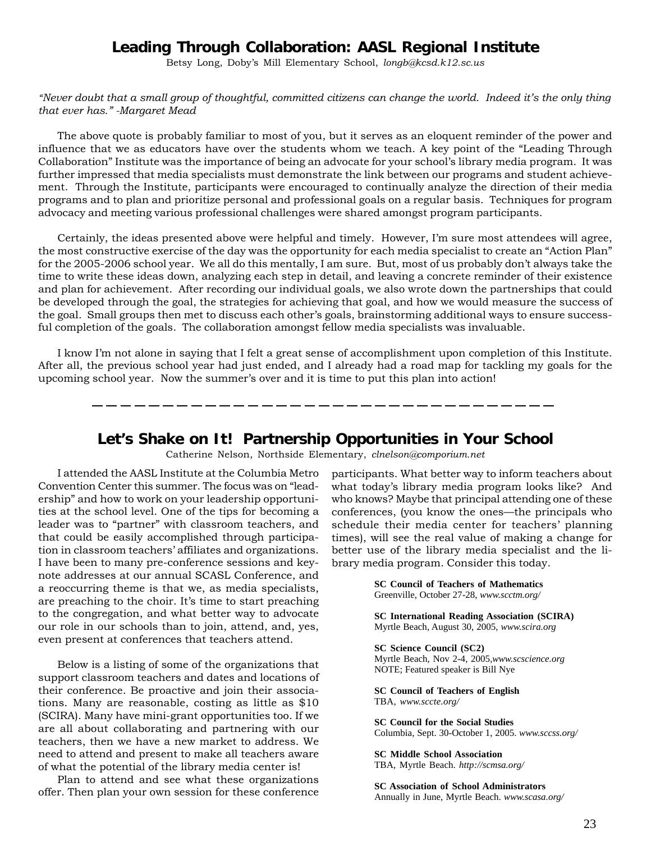### **Leading Through Collaboration: AASL Regional Institute**

Betsy Long, Doby's Mill Elementary School, *longb@kcsd.k12.sc.us*

*"Never doubt that a small group of thoughtful, committed citizens can change the world. Indeed it's the only thing that ever has." -Margaret Mead*

The above quote is probably familiar to most of you, but it serves as an eloquent reminder of the power and influence that we as educators have over the students whom we teach. A key point of the "Leading Through Collaboration" Institute was the importance of being an advocate for your school's library media program. It was further impressed that media specialists must demonstrate the link between our programs and student achievement. Through the Institute, participants were encouraged to continually analyze the direction of their media programs and to plan and prioritize personal and professional goals on a regular basis. Techniques for program advocacy and meeting various professional challenges were shared amongst program participants.

Certainly, the ideas presented above were helpful and timely. However, I'm sure most attendees will agree, the most constructive exercise of the day was the opportunity for each media specialist to create an "Action Plan" for the 2005-2006 school year. We all do this mentally, I am sure. But, most of us probably don't always take the time to write these ideas down, analyzing each step in detail, and leaving a concrete reminder of their existence and plan for achievement. After recording our individual goals, we also wrote down the partnerships that could be developed through the goal, the strategies for achieving that goal, and how we would measure the success of the goal. Small groups then met to discuss each other's goals, brainstorming additional ways to ensure successful completion of the goals. The collaboration amongst fellow media specialists was invaluable.

I know I'm not alone in saying that I felt a great sense of accomplishment upon completion of this Institute. After all, the previous school year had just ended, and I already had a road map for tackling my goals for the upcoming school year. Now the summer's over and it is time to put this plan into action!

--------------------------

#### **Let's Shake on It! Partnership Opportunities in Your School**

Catherine Nelson, Northside Elementary, *clnelson@comporium.net*

I attended the AASL Institute at the Columbia Metro Convention Center this summer. The focus was on "leadership" and how to work on your leadership opportunities at the school level. One of the tips for becoming a leader was to "partner" with classroom teachers, and that could be easily accomplished through participation in classroom teachers' affiliates and organizations. I have been to many pre-conference sessions and keynote addresses at our annual SCASL Conference, and a reoccurring theme is that we, as media specialists, are preaching to the choir. It's time to start preaching to the congregation, and what better way to advocate our role in our schools than to join, attend, and, yes, even present at conferences that teachers attend.

Below is a listing of some of the organizations that support classroom teachers and dates and locations of their conference. Be proactive and join their associations. Many are reasonable, costing as little as \$10 (SCIRA). Many have mini-grant opportunities too. If we are all about collaborating and partnering with our teachers, then we have a new market to address. We need to attend and present to make all teachers aware of what the potential of the library media center is!

Plan to attend and see what these organizations offer. Then plan your own session for these conference participants. What better way to inform teachers about what today's library media program looks like? And who knows? Maybe that principal attending one of these conferences, (you know the ones—the principals who schedule their media center for teachers' planning times), will see the real value of making a change for better use of the library media specialist and the library media program. Consider this today.

> **SC Council of Teachers of Mathematics** Greenville, October 27-28, *www.scctm.org/*

**SC International Reading Association (SCIRA)** Myrtle Beach, August 30, 2005, *www.scira.org*

**SC Science Council (SC2)** Myrtle Beach, Nov 2-4, 2005,*www.scscience.org* NOTE; Featured speaker is Bill Nye

**SC Council of Teachers of English** TBA, *www.sccte.org/*

**SC Council for the Social Studies** Columbia, Sept. 30-October 1, 2005. *www.sccss.org/*

**SC Middle School Association** TBA, Myrtle Beach. *http://scmsa.org/*

**SC Association of School Administrators** Annually in June, Myrtle Beach. *www.scasa.org/*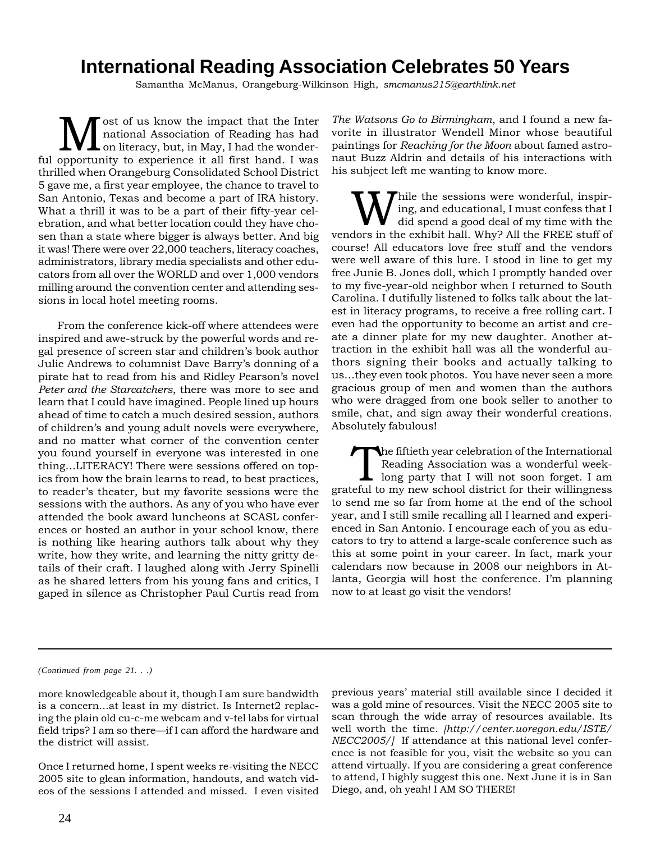# **International Reading Association Celebrates 50 Years**

Samantha McManus, Orangeburg-Wilkinson High, *smcmanus215@earthlink.net*

ost of us know the impact that the Inter national Association of Reading has had on literacy, but, in May, I had the wonderful opportunity to experience it all first hand. I was thrilled when Orangeburg Consolidated School District 5 gave me, a first year employee, the chance to travel to San Antonio, Texas and become a part of IRA history. What a thrill it was to be a part of their fifty-year celebration, and what better location could they have chosen than a state where bigger is always better. And big it was! There were over 22,000 teachers, literacy coaches, administrators, library media specialists and other educators from all over the WORLD and over 1,000 vendors milling around the convention center and attending sessions in local hotel meeting rooms.

From the conference kick-off where attendees were inspired and awe-struck by the powerful words and regal presence of screen star and children's book author Julie Andrews to columnist Dave Barry's donning of a pirate hat to read from his and Ridley Pearson's novel *Peter and the Starcatchers*, there was more to see and learn that I could have imagined. People lined up hours ahead of time to catch a much desired session, authors of children's and young adult novels were everywhere, and no matter what corner of the convention center you found yourself in everyone was interested in one thing…LITERACY! There were sessions offered on topics from how the brain learns to read, to best practices, to reader's theater, but my favorite sessions were the sessions with the authors. As any of you who have ever attended the book award luncheons at SCASL conferences or hosted an author in your school know, there is nothing like hearing authors talk about why they write, how they write, and learning the nitty gritty details of their craft. I laughed along with Jerry Spinelli as he shared letters from his young fans and critics, I gaped in silence as Christopher Paul Curtis read from

*The Watsons Go to Birmingham*, and I found a new favorite in illustrator Wendell Minor whose beautiful paintings for *Reaching for the Moon* about famed astronaut Buzz Aldrin and details of his interactions with his subject left me wanting to know more.

While the sessions were wonderful, inspir-<br>did spend a good deal of my time with the<br>dors in the exhibit holl Why? All the EREE stuff of ing, and educational, I must confess that I vendors in the exhibit hall. Why? All the FREE stuff of course! All educators love free stuff and the vendors were well aware of this lure. I stood in line to get my free Junie B. Jones doll, which I promptly handed over to my five-year-old neighbor when I returned to South Carolina. I dutifully listened to folks talk about the latest in literacy programs, to receive a free rolling cart. I even had the opportunity to become an artist and create a dinner plate for my new daughter. Another attraction in the exhibit hall was all the wonderful authors signing their books and actually talking to us…they even took photos. You have never seen a more gracious group of men and women than the authors who were dragged from one book seller to another to smile, chat, and sign away their wonderful creations. Absolutely fabulous!

The fiftieth year celebration of the International<br>Reading Association was a wonderful week-<br>long party that I will not soon forget. I am Reading Association was a wonderful weekgrateful to my new school district for their willingness to send me so far from home at the end of the school year, and I still smile recalling all I learned and experienced in San Antonio. I encourage each of you as educators to try to attend a large-scale conference such as this at some point in your career. In fact, mark your calendars now because in 2008 our neighbors in Atlanta, Georgia will host the conference. I'm planning now to at least go visit the vendors!

*(Continued from page 21. . .)*

more knowledgeable about it, though I am sure bandwidth is a concern...at least in my district. Is Internet2 replacing the plain old cu-c-me webcam and v-tel labs for virtual field trips? I am so there—if I can afford the hardware and the district will assist.

Once I returned home, I spent weeks re-visiting the NECC 2005 site to glean information, handouts, and watch videos of the sessions I attended and missed. I even visited previous years' material still available since I decided it was a gold mine of resources. Visit the NECC 2005 site to scan through the wide array of resources available. Its well worth the time. *[http://center.uoregon.edu/ISTE/ NECC2005/]* If attendance at this national level conference is not feasible for you, visit the website so you can attend virtually. If you are considering a great conference to attend, I highly suggest this one. Next June it is in San Diego, and, oh yeah! I AM SO THERE!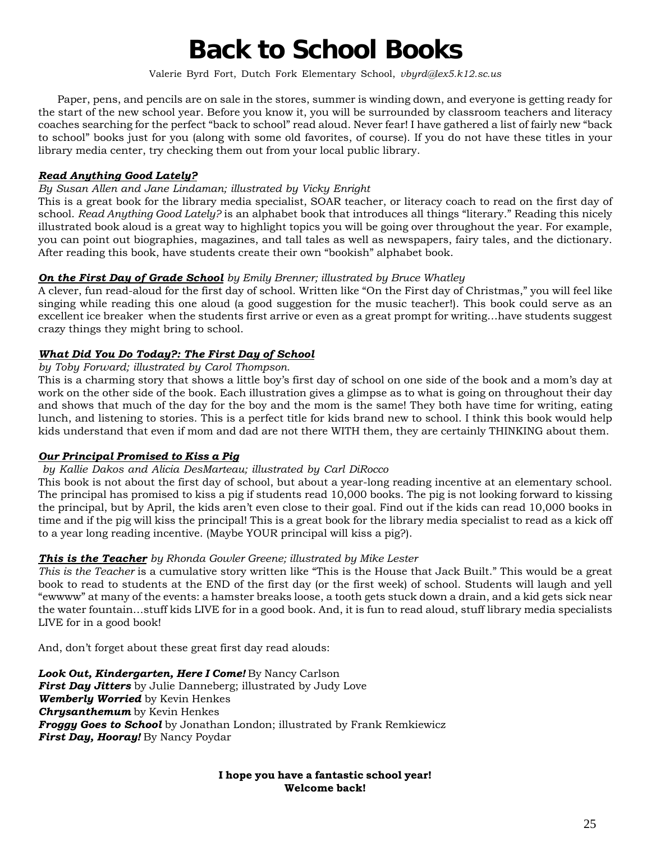# **Back to School Books**

Valerie Byrd Fort, Dutch Fork Elementary School, *vbyrd@lex5.k12.sc.us*

Paper, pens, and pencils are on sale in the stores, summer is winding down, and everyone is getting ready for the start of the new school year. Before you know it, you will be surrounded by classroom teachers and literacy coaches searching for the perfect "back to school" read aloud. Never fear! I have gathered a list of fairly new "back to school" books just for you (along with some old favorites, of course). If you do not have these titles in your library media center, try checking them out from your local public library.

#### *Read Anything Good Lately?*

#### *By Susan Allen and Jane Lindaman; illustrated by Vicky Enright*

This is a great book for the library media specialist, SOAR teacher, or literacy coach to read on the first day of school. *Read Anything Good Lately?* is an alphabet book that introduces all things "literary." Reading this nicely illustrated book aloud is a great way to highlight topics you will be going over throughout the year. For example, you can point out biographies, magazines, and tall tales as well as newspapers, fairy tales, and the dictionary. After reading this book, have students create their own "bookish" alphabet book.

#### *On the First Day of Grade School by Emily Brenner; illustrated by Bruce Whatley*

A clever, fun read-aloud for the first day of school. Written like "On the First day of Christmas," you will feel like singing while reading this one aloud (a good suggestion for the music teacher!). This book could serve as an excellent ice breaker when the students first arrive or even as a great prompt for writing…have students suggest crazy things they might bring to school.

#### *What Did You Do Today?: The First Day of School*

#### *by Toby Forward; illustrated by Carol Thompson.*

This is a charming story that shows a little boy's first day of school on one side of the book and a mom's day at work on the other side of the book. Each illustration gives a glimpse as to what is going on throughout their day and shows that much of the day for the boy and the mom is the same! They both have time for writing, eating lunch, and listening to stories. This is a perfect title for kids brand new to school. I think this book would help kids understand that even if mom and dad are not there WITH them, they are certainly THINKING about them.

#### *Our Principal Promised to Kiss a Pig*

#### *by Kallie Dakos and Alicia DesMarteau; illustrated by Carl DiRocco*

This book is not about the first day of school, but about a year-long reading incentive at an elementary school. The principal has promised to kiss a pig if students read 10,000 books. The pig is not looking forward to kissing the principal, but by April, the kids aren't even close to their goal. Find out if the kids can read 10,000 books in time and if the pig will kiss the principal! This is a great book for the library media specialist to read as a kick off to a year long reading incentive. (Maybe YOUR principal will kiss a pig?).

#### *This is the Teacher by Rhonda Gowler Greene; illustrated by Mike Lester*

*This is the Teacher* is a cumulative story written like "This is the House that Jack Built." This would be a great book to read to students at the END of the first day (or the first week) of school. Students will laugh and yell "ewwww" at many of the events: a hamster breaks loose, a tooth gets stuck down a drain, and a kid gets sick near the water fountain…stuff kids LIVE for in a good book. And, it is fun to read aloud, stuff library media specialists LIVE for in a good book!

And, don't forget about these great first day read alouds:

*Look Out, Kindergarten, Here I Come!* By Nancy Carlson *First Day Jitters* by Julie Danneberg; illustrated by Judy Love *Wemberly Worried* by Kevin Henkes *Chrysanthemum* by Kevin Henkes *Froggy Goes to School* by Jonathan London; illustrated by Frank Remkiewicz *First Day, Hooray!* By Nancy Poydar

#### **I hope you have a fantastic school year! Welcome back!**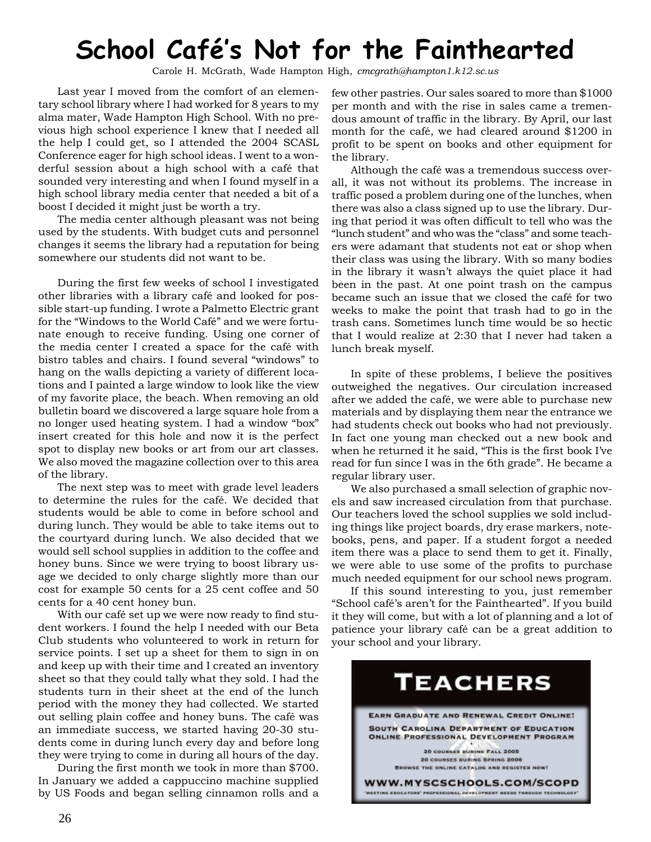# **School Café's Not for the Fainthearted**

Carole H. McGrath, Wade Hampton High, *cmcgrath@hampton1.k12.sc.us*

Last year I moved from the comfort of an elementary school library where I had worked for 8 years to my alma mater, Wade Hampton High School. With no previous high school experience I knew that I needed all the help I could get, so I attended the 2004 SCASL Conference eager for high school ideas. I went to a wonderful session about a high school with a café that sounded very interesting and when I found myself in a high school library media center that needed a bit of a boost I decided it might just be worth a try.

The media center although pleasant was not being used by the students. With budget cuts and personnel changes it seems the library had a reputation for being somewhere our students did not want to be.

During the first few weeks of school I investigated other libraries with a library café and looked for possible start-up funding. I wrote a Palmetto Electric grant for the "Windows to the World Café" and we were fortunate enough to receive funding. Using one corner of the media center I created a space for the café with bistro tables and chairs. I found several "windows" to hang on the walls depicting a variety of different locations and I painted a large window to look like the view of my favorite place, the beach. When removing an old bulletin board we discovered a large square hole from a no longer used heating system. I had a window "box" insert created for this hole and now it is the perfect spot to display new books or art from our art classes. We also moved the magazine collection over to this area of the library.

The next step was to meet with grade level leaders to determine the rules for the café. We decided that students would be able to come in before school and during lunch. They would be able to take items out to the courtyard during lunch. We also decided that we would sell school supplies in addition to the coffee and honey buns. Since we were trying to boost library usage we decided to only charge slightly more than our cost for example 50 cents for a 25 cent coffee and 50 cents for a 40 cent honey bun.

With our café set up we were now ready to find student workers. I found the help I needed with our Beta Club students who volunteered to work in return for service points. I set up a sheet for them to sign in on and keep up with their time and I created an inventory sheet so that they could tally what they sold. I had the students turn in their sheet at the end of the lunch period with the money they had collected. We started out selling plain coffee and honey buns. The café was an immediate success, we started having 20-30 students come in during lunch every day and before long they were trying to come in during all hours of the day.

During the first month we took in more than \$700. In January we added a cappuccino machine supplied by US Foods and began selling cinnamon rolls and a few other pastries. Our sales soared to more than \$1000 per month and with the rise in sales came a tremendous amount of traffic in the library. By April, our last month for the café, we had cleared around \$1200 in profit to be spent on books and other equipment for the library.

Although the café was a tremendous success overall, it was not without its problems. The increase in traffic posed a problem during one of the lunches, when there was also a class signed up to use the library. During that period it was often difficult to tell who was the "lunch student" and who was the "class" and some teachers were adamant that students not eat or shop when their class was using the library. With so many bodies in the library it wasn't always the quiet place it had been in the past. At one point trash on the campus became such an issue that we closed the café for two weeks to make the point that trash had to go in the trash cans. Sometimes lunch time would be so hectic that I would realize at 2:30 that I never had taken a lunch break myself.

In spite of these problems, I believe the positives outweighed the negatives. Our circulation increased after we added the café, we were able to purchase new materials and by displaying them near the entrance we had students check out books who had not previously. In fact one young man checked out a new book and when he returned it he said, "This is the first book I've read for fun since I was in the 6th grade". He became a regular library user.

We also purchased a small selection of graphic novels and saw increased circulation from that purchase. Our teachers loved the school supplies we sold including things like project boards, dry erase markers, notebooks, pens, and paper. If a student forgot a needed item there was a place to send them to get it. Finally, we were able to use some of the profits to purchase much needed equipment for our school news program.

If this sound interesting to you, just remember "School café's aren't for the Fainthearted". If you build it they will come, but with a lot of planning and a lot of patience your library café can be a great addition to your school and your library.

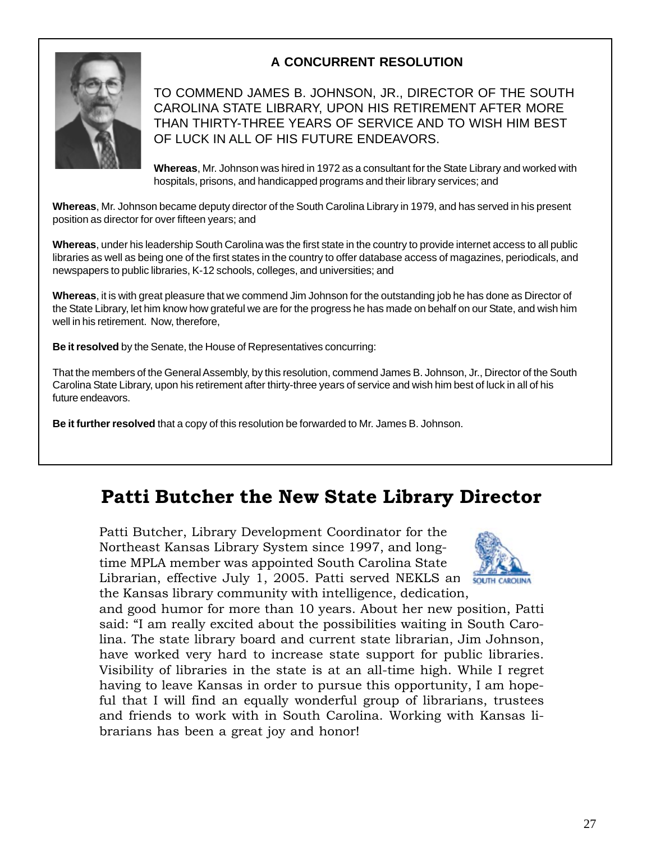## **A CONCURRENT RESOLUTION**



TO COMMEND JAMES B. JOHNSON, JR., DIRECTOR OF THE SOUTH CAROLINA STATE LIBRARY, UPON HIS RETIREMENT AFTER MORE THAN THIRTY-THREE YEARS OF SERVICE AND TO WISH HIM BEST OF LUCK IN ALL OF HIS FUTURE ENDEAVORS.

**Whereas**, Mr. Johnson was hired in 1972 as a consultant for the State Library and worked with hospitals, prisons, and handicapped programs and their library services; and

**Whereas**, Mr. Johnson became deputy director of the South Carolina Library in 1979, and has served in his present position as director for over fifteen years; and

**Whereas**, under his leadership South Carolina was the first state in the country to provide internet access to all public libraries as well as being one of the first states in the country to offer database access of magazines, periodicals, and newspapers to public libraries, K-12 schools, colleges, and universities; and

**Whereas**, it is with great pleasure that we commend Jim Johnson for the outstanding job he has done as Director of the State Library, let him know how grateful we are for the progress he has made on behalf on our State, and wish him well in his retirement. Now, therefore,

**Be it resolved** by the Senate, the House of Representatives concurring:

That the members of the General Assembly, by this resolution, commend James B. Johnson, Jr., Director of the South Carolina State Library, upon his retirement after thirty-three years of service and wish him best of luck in all of his future endeavors.

**Be it further resolved** that a copy of this resolution be forwarded to Mr. James B. Johnson.

# **Patti Butcher the New State Library Director**

Patti Butcher, Library Development Coordinator for the Northeast Kansas Library System since 1997, and longtime MPLA member was appointed South Carolina State Librarian, effective July 1, 2005. Patti served NEKLS an the Kansas library community with intelligence, dedication,



and good humor for more than 10 years. About her new position, Patti said: "I am really excited about the possibilities waiting in South Carolina. The state library board and current state librarian, Jim Johnson, have worked very hard to increase state support for public libraries. Visibility of libraries in the state is at an all-time high. While I regret having to leave Kansas in order to pursue this opportunity, I am hopeful that I will find an equally wonderful group of librarians, trustees and friends to work with in South Carolina. Working with Kansas librarians has been a great joy and honor!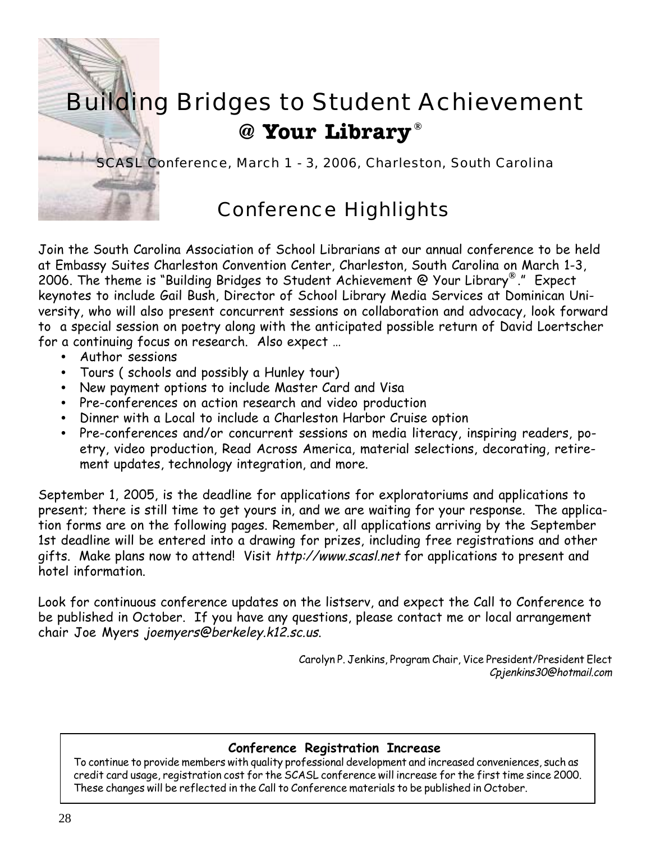

Join the South Carolina Association of School Librarians at our annual conference to be held at Embassy Suites Charleston Convention Center, Charleston, South Carolina on March 1-3, 2006. The theme is "Building Bridges to Student Achievement @ Your Library®." Expect keynotes to include Gail Bush, Director of School Library Media Services at Dominican University, who will also present concurrent sessions on collaboration and advocacy, look forward to a special session on poetry along with the anticipated possible return of David Loertscher for a continuing focus on research. Also expect …

- Author sessions
- Tours ( schools and possibly a Hunley tour)
- New payment options to include Master Card and Visa
- Pre-conferences on action research and video production
- Dinner with a Local to include a Charleston Harbor Cruise option
- Pre-conferences and/or concurrent sessions on media literacy, inspiring readers, poetry, video production, Read Across America, material selections, decorating, retirement updates, technology integration, and more.

September 1, 2005, is the deadline for applications for exploratoriums and applications to present; there is still time to get yours in, and we are waiting for your response. The application forms are on the following pages. Remember, all applications arriving by the September 1st deadline will be entered into a drawing for prizes, including free registrations and other gifts. Make plans now to attend! Visit http://www.scasl.net for applications to present and hotel information.

Look for continuous conference updates on the listserv, and expect the Call to Conference to be published in October. If you have any questions, please contact me or local arrangement chair Joe Myers joemyers@berkeley.k12.sc.us.

> Carolyn P. Jenkins, Program Chair, Vice President/President Elect Cpjenkins30@hotmail.com

### **Conference Registration Increase**

To continue to provide members with quality professional development and increased conveniences, such as credit card usage, registration cost for the SCASL conference will increase for the first time since 2000. These changes will be reflected in the Call to Conference materials to be published in October.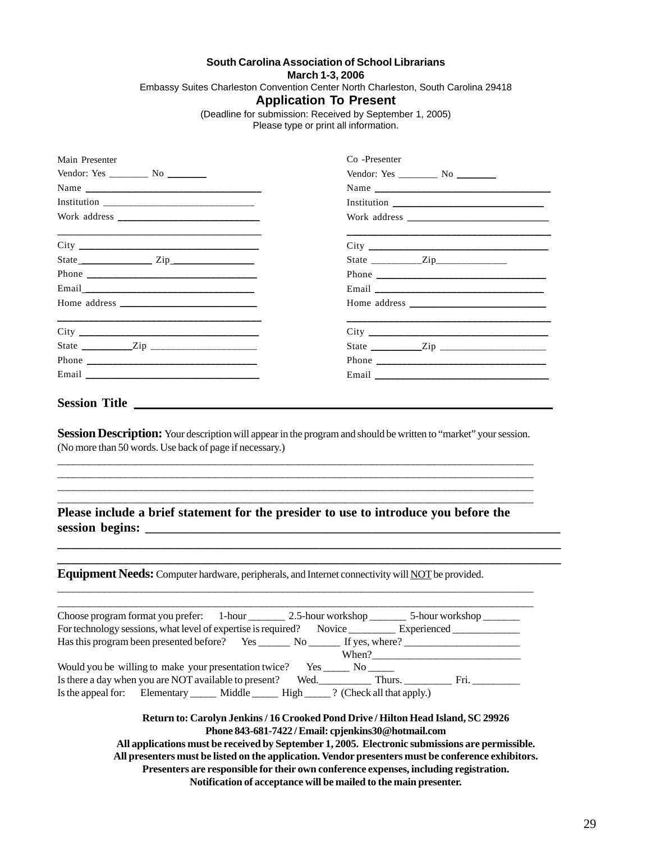#### **South Carolina Association of School Librarians**

**March 1-3, 2006**

Embassy Suites Charleston Convention Center North Charleston, South Carolina 29418

#### **Application To Present**

(Deadline for submission: Received by September 1, 2005)

Please type or print all information.

| Main Presenter                                                                         | Co -Presenter                                                                                                                                                                                                                               |
|----------------------------------------------------------------------------------------|---------------------------------------------------------------------------------------------------------------------------------------------------------------------------------------------------------------------------------------------|
|                                                                                        |                                                                                                                                                                                                                                             |
|                                                                                        | Name                                                                                                                                                                                                                                        |
|                                                                                        |                                                                                                                                                                                                                                             |
|                                                                                        |                                                                                                                                                                                                                                             |
|                                                                                        |                                                                                                                                                                                                                                             |
|                                                                                        |                                                                                                                                                                                                                                             |
|                                                                                        |                                                                                                                                                                                                                                             |
|                                                                                        |                                                                                                                                                                                                                                             |
|                                                                                        |                                                                                                                                                                                                                                             |
|                                                                                        |                                                                                                                                                                                                                                             |
|                                                                                        |                                                                                                                                                                                                                                             |
|                                                                                        |                                                                                                                                                                                                                                             |
|                                                                                        |                                                                                                                                                                                                                                             |
|                                                                                        | Please include a brief statement for the presider to use to introduce you before the                                                                                                                                                        |
|                                                                                        | Equipment Needs: Computer hardware, peripherals, and Internet connectivity will NOT be provided.                                                                                                                                            |
|                                                                                        | For technology sessions, what level of expertise is required? Novice ___________ Experienced ____________<br>When?                                                                                                                          |
| Would you be willing to make your presentation twice? Yes ______ No _____              |                                                                                                                                                                                                                                             |
|                                                                                        |                                                                                                                                                                                                                                             |
| Is the appeal for: Elementary ______ Middle ______ High _____? (Check all that apply.) |                                                                                                                                                                                                                                             |
|                                                                                        | Return to: Carolyn Jenkins / 16 Crooked Pond Drive / Hilton Head Island, SC 29926<br>Phone 843-681-7422 / Email: cpjenkins30@hotmail.com<br>All applications must be received by September 1, 2005. Electronic submissions are permissible. |

**All applications must be received by September 1, 2005. Electronic submissions are permissible. All presenters must be listed on the application. Vendor presenters must be conference exhibitors. Presenters are responsible for their own conference expenses, including registration. Notification of acceptance will be mailed to the main presenter.**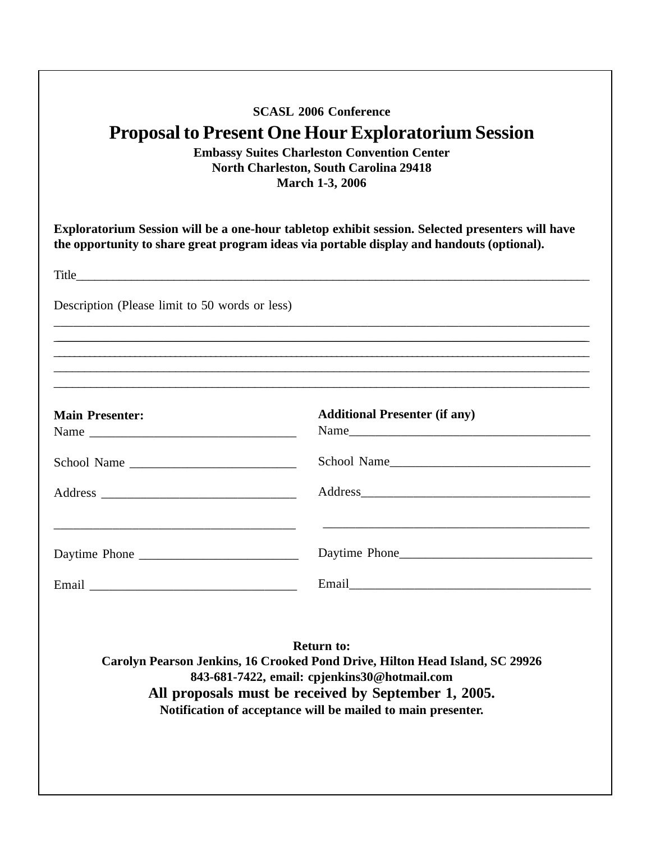| <b>SCASL 2006 Conference</b><br><b>Proposal to Present One Hour Exploratorium Session</b><br><b>Embassy Suites Charleston Convention Center</b><br><b>North Charleston, South Carolina 29418</b><br>March 1-3, 2006 |                                                                                                                                                                                                                                                                           |  |  |
|---------------------------------------------------------------------------------------------------------------------------------------------------------------------------------------------------------------------|---------------------------------------------------------------------------------------------------------------------------------------------------------------------------------------------------------------------------------------------------------------------------|--|--|
| Exploratorium Session will be a one-hour tabletop exhibit session. Selected presenters will have<br>the opportunity to share great program ideas via portable display and handouts (optional).                      |                                                                                                                                                                                                                                                                           |  |  |
|                                                                                                                                                                                                                     |                                                                                                                                                                                                                                                                           |  |  |
| Description (Please limit to 50 words or less)                                                                                                                                                                      |                                                                                                                                                                                                                                                                           |  |  |
|                                                                                                                                                                                                                     |                                                                                                                                                                                                                                                                           |  |  |
|                                                                                                                                                                                                                     |                                                                                                                                                                                                                                                                           |  |  |
| <b>Main Presenter:</b>                                                                                                                                                                                              | <b>Additional Presenter (if any)</b>                                                                                                                                                                                                                                      |  |  |
| School Name                                                                                                                                                                                                         | School Name                                                                                                                                                                                                                                                               |  |  |
|                                                                                                                                                                                                                     |                                                                                                                                                                                                                                                                           |  |  |
|                                                                                                                                                                                                                     |                                                                                                                                                                                                                                                                           |  |  |
|                                                                                                                                                                                                                     |                                                                                                                                                                                                                                                                           |  |  |
|                                                                                                                                                                                                                     | <b>Return to:</b><br>Carolyn Pearson Jenkins, 16 Crooked Pond Drive, Hilton Head Island, SC 29926<br>843-681-7422, email: cpjenkins30@hotmail.com<br>All proposals must be received by September 1, 2005.<br>Notification of acceptance will be mailed to main presenter. |  |  |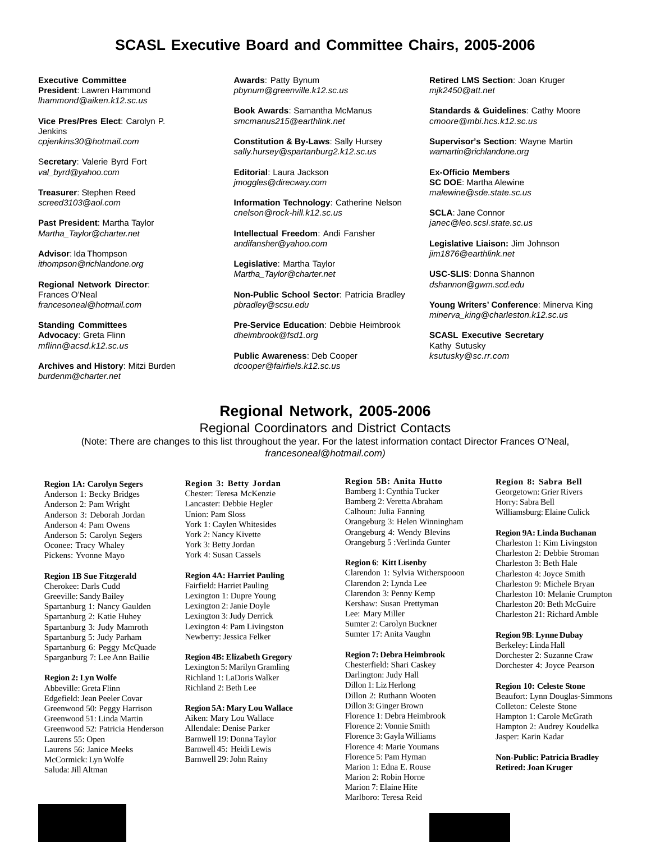### **SCASL Executive Board and Committee Chairs, 2005-2006**

**Executive Committee President**: Lawren Hammond *lhammond@aiken.k12.sc.us*

**Vice Pres/Pres Elect**: Carolyn P. Jenkins *cpjenkins30@hotmail.com*

S**ecretary**: Valerie Byrd Fort *val\_byrd@yahoo.com*

**Treasurer**: Stephen Reed *screed3103@aol.com*

**Past President**: Martha Taylor *Martha\_Taylor@charter.net*

**Advisor**: Ida Thompson *ithompson@richlandone.org*

**Regional Network Director**: Frances O'Neal *francesoneal@hotmail.com*

**Standing Committees Advocacy**: Greta Flinn *mflinn@acsd.k12.sc.us*

**Archives and History**: Mitzi Burden *burdenm@charter.net*

**Awards**: Patty Bynum *pbynum@greenville.k12.sc.us*

**Book Awards**: Samantha McManus *smcmanus215@earthlink.net*

**Constitution & By-Laws**: Sally Hursey *sally.hursey@spartanburg2.k12.sc.us*

**Editorial**: Laura Jackson *jmoggles@direcway.com*

**Information Technology**: Catherine Nelson *cnelson@rock-hill.k12.sc.us*

**Intellectual Freedom**: Andi Fansher *andifansher@yahoo.com*

**Legislative**: Martha Taylor *Martha\_Taylor@charter.net*

**Non-Public School Sector**: Patricia Bradley *pbradley@scsu.edu*

**Pre-Service Education**: Debbie Heimbrook *dheimbrook@fsd1.org*

**Public Awareness**: Deb Cooper *dcooper@fairfiels.k12.sc.us*

**Retired LMS Section**: Joan Kruger *mjk2450@att.net*

**Standards & Guidelines**: Cathy Moore *cmoore@mbi.hcs.k12.sc.us*

**Supervisor's Section**: Wayne Martin *wamartin@richlandone.org*

**Ex-Officio Members SC DOE**: Martha Alewine *malewine@sde.state.sc.us*

**SCLA**: Jane Connor *janec@leo.scsl.state.sc.us*

**Legislative Liaison:** Jim Johnson *jim1876@earthlink.net*

**USC-SLIS**: Donna Shannon *dshannon@gwm.scd.edu*

**Young Writers' Conference**: Minerva King *minerva\_king@charleston.k12.sc.us*

**SCASL Executive Secretary** Kathy Sutusky *ksutusky@sc.rr.com*

# **Regional Network, 2005-2006**

Regional Coordinators and District Contacts

(Note: There are changes to this list throughout the year. For the latest information contact Director Frances O'Neal, *francesoneal@hotmail.com)*

**Region 1A: Carolyn Segers** Anderson 1: Becky Bridges Anderson 2: Pam Wright Anderson 3: Deborah Jordan Anderson 4: Pam Owens Anderson 5: Carolyn Segers Oconee: Tracy Whaley Pickens: Yvonne Mayo

#### **Region 1B Sue Fitzgerald**

Cherokee: Darls Cudd Greeville: Sandy Bailey Spartanburg 1: Nancy Gaulden Spartanburg 2: Katie Huhey Spartanburg 3: Judy Mamroth Spartanburg 5: Judy Parham Spartanburg 6: Peggy McQuade Sparganburg 7: Lee Ann Bailie

#### **Region 2: Lyn Wolfe**

Abbeville: Greta Flinn Edgefield: Jean Peeler Covar Greenwood 50: Peggy Harrison Greenwood 51: Linda Martin Greenwood 52: Patricia Henderson Laurens 55: Open Laurens 56: Janice Meeks McCormick: Lyn Wolfe Saluda: Jill Altman

**Region 3: Betty Jordan** Chester: Teresa McKenzie Lancaster: Debbie Hegler Union: Pam Sloss York 1: Caylen Whitesides York 2: Nancy Kivette York 3: Betty Jordan York 4: Susan Cassels

#### **Region 4A: Harriet Pauling**

Fairfield: Harriet Pauling Lexington 1: Dupre Young Lexington 2: Janie Doyle Lexington 3: Judy Derrick Lexington 4: Pam Livingston Newberry: Jessica Felker

#### **Region 4B: Elizabeth Gregory**

Lexington 5: Marilyn Gramling Richland 1: LaDoris Walker Richland 2: Beth Lee

#### **Region 5A: Mary Lou Wallace**

Aiken: Mary Lou Wallace Allendale: Denise Parker Barnwell 19: Donna Taylor Barnwell 45: Heidi Lewis Barnwell 29: John Rainy

**Region 5B: Anita Hutto** Bamberg 1: Cynthia Tucker Bamberg 2: Veretta Abraham Calhoun: Julia Fanning Orangeburg 3: Helen Winningham Orangeburg 4: Wendy Blevins Orangeburg 5 :Verlinda Gunter

#### **Region 6**: **Kitt Lisenby**

Clarendon 1: Sylvia Witherspooon Clarendon 2: Lynda Lee Clarendon 3: Penny Kemp Kershaw: Susan Prettyman Lee: Mary Miller Sumter 2: Carolyn Buckner Sumter 17: Anita Vaughn

#### **Region 7: Debra Heimbrook**

Chesterfield: Shari Caskey Darlington: Judy Hall Dillon 1: Liz Herlong Dillon 2: Ruthann Wooten Dillon 3: Ginger Brown Florence 1: Debra Heimbrook Florence 2: Vonnie Smith Florence 3: Gayla Williams Florence 4: Marie Youmans Florence 5: Pam Hyman Marion 1: Edna E. Rouse Marion 2: Robin Horne Marion 7: Elaine Hite Marlboro: Teresa Reid

**Region 8: Sabra Bell** Georgetown: Grier Rivers Horry: Sabra Bell Williamsburg: Elaine Culick

#### **Region 9A: Linda Buchanan**

Charleston 1: Kim Livingston Charleston 2: Debbie Stroman Charleston 3: Beth Hale Charleston 4: Joyce Smith Charleston 9: Michele Bryan Charleston 10: Melanie Crumpton Charleston 20: Beth McGuire Charleston 21: Richard Amble

**Region 9B**: **Lynne Dubay**

Berkeley: Linda Hall Dorchester 2: Suzanne Craw Dorchester 4: Joyce Pearson

#### **Region 10: Celeste Stone**

Beaufort: Lynn Douglas-Simmons Colleton: Celeste Stone Hampton 1: Carole McGrath Hampton 2: Audrey Koudelka Jasper: Karin Kadar

**Non-Public: Patricia Bradley Retired: Joan Kruger**